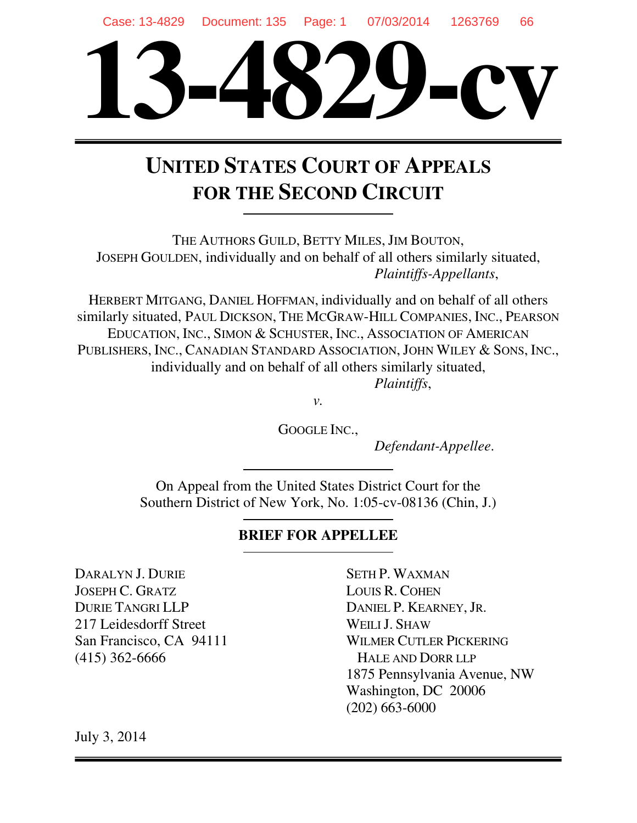

# **UNITED STATES COURT OF APPEALS FOR THE SECOND CIRCUIT**

THE AUTHORS GUILD, BETTY MILES, JIM BOUTON, JOSEPH GOULDEN, individually and on behalf of all others similarly situated, *Plaintiffs-Appellants*,

HERBERT MITGANG, DANIEL HOFFMAN, individually and on behalf of all others similarly situated, PAUL DICKSON, THE MCGRAW-HILL COMPANIES, INC., PEARSON EDUCATION, INC., SIMON & SCHUSTER, INC., ASSOCIATION OF AMERICAN PUBLISHERS, INC., CANADIAN STANDARD ASSOCIATION, JOHN WILEY & SONS, INC., individually and on behalf of all others similarly situated, *Plaintiffs*,

*v.* 

GOOGLE INC.,

*Defendant-Appellee*.

On Appeal from the United States District Court for the Southern District of New York, No. 1:05-cv-08136 (Chin, J.)

# **BRIEF FOR APPELLEE**

DARALYN J. DURIE JOSEPH C. GRATZ DURIE TANGRI LLP 217 Leidesdorff Street San Francisco, CA 94111 (415) 362-6666

SETH P. WAXMAN LOUIS R. COHEN DANIEL P. KEARNEY, JR. WEILL J. SHAW WILMER CUTLER PICKERING HALE AND DORR LLP 1875 Pennsylvania Avenue, NW Washington, DC 20006 (202) 663-6000

July 3, 2014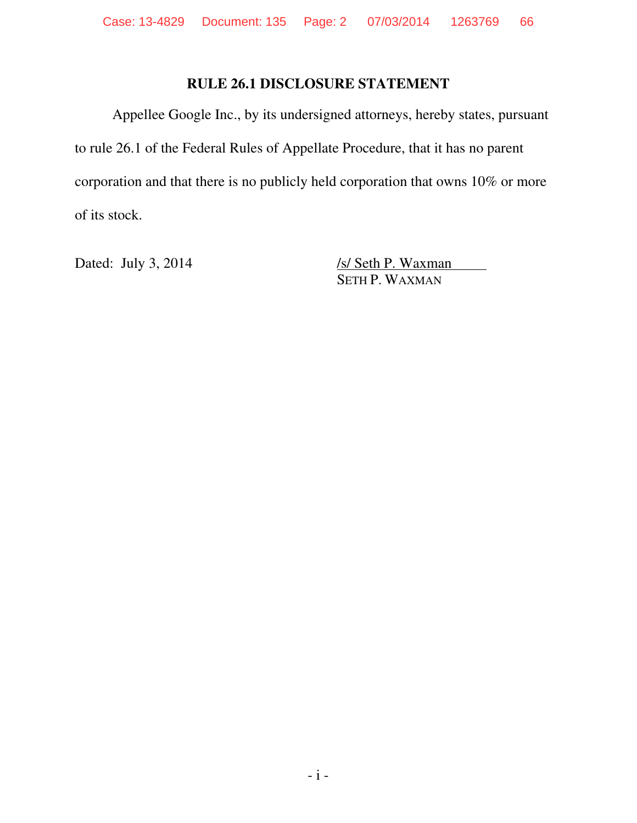# **RULE 26.1 DISCLOSURE STATEMENT**

Appellee Google Inc., by its undersigned attorneys, hereby states, pursuant to rule 26.1 of the Federal Rules of Appellate Procedure, that it has no parent corporation and that there is no publicly held corporation that owns 10% or more of its stock.

Dated: July 3, 2014 /s/ Seth P. Waxman SETH P. WAXMAN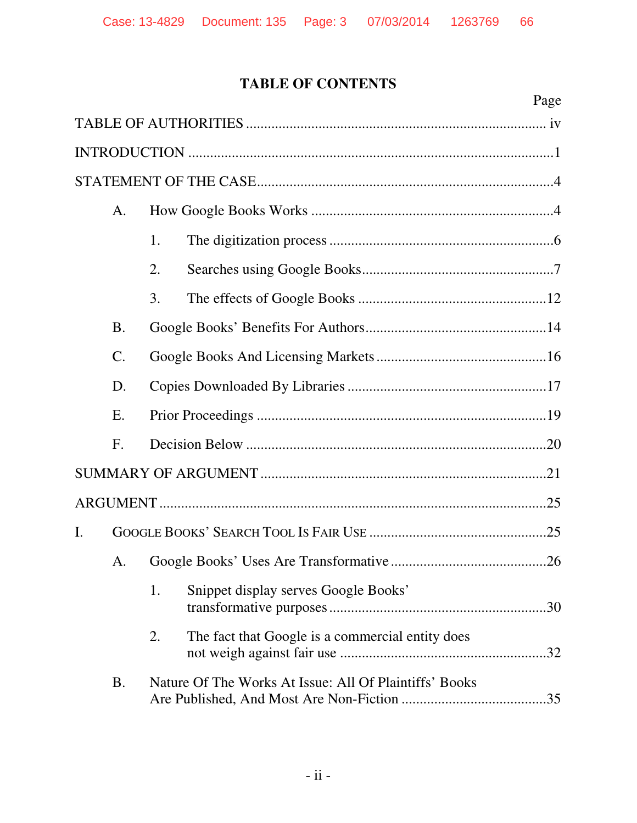# **TABLE OF CONTENTS**

|    |           |    | Page                                                   |  |
|----|-----------|----|--------------------------------------------------------|--|
|    |           |    |                                                        |  |
|    |           |    |                                                        |  |
|    |           |    |                                                        |  |
|    | A.        |    |                                                        |  |
|    |           | 1. |                                                        |  |
|    |           | 2. |                                                        |  |
|    |           | 3. |                                                        |  |
|    | <b>B.</b> |    |                                                        |  |
|    | $C$ .     |    |                                                        |  |
|    | D.        |    |                                                        |  |
|    | Ε.        |    |                                                        |  |
|    | F.        |    |                                                        |  |
|    |           |    |                                                        |  |
|    |           |    |                                                        |  |
| Ι. |           |    |                                                        |  |
|    |           |    |                                                        |  |
|    |           | 1. | Snippet display serves Google Books'                   |  |
|    |           | 2. | The fact that Google is a commercial entity does       |  |
|    | <b>B.</b> |    | Nature Of The Works At Issue: All Of Plaintiffs' Books |  |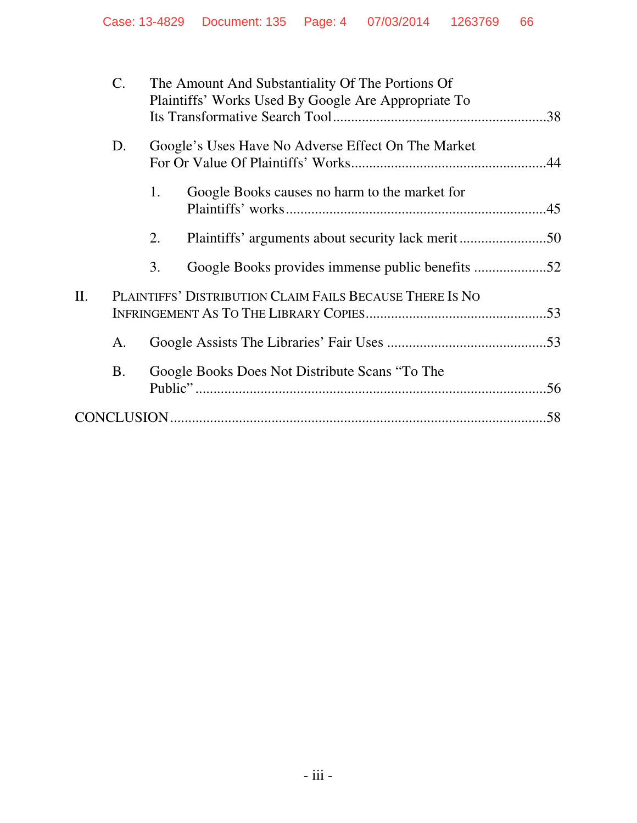|    | $\mathbf{C}$ . |    | The Amount And Substantiality Of The Portions Of<br>Plaintiffs' Works Used By Google Are Appropriate To |     |
|----|----------------|----|---------------------------------------------------------------------------------------------------------|-----|
|    |                |    |                                                                                                         |     |
|    | D.             |    | Google's Uses Have No Adverse Effect On The Market                                                      |     |
|    |                | 1. | Google Books causes no harm to the market for                                                           |     |
|    |                | 2. |                                                                                                         |     |
|    |                | 3. | Google Books provides immense public benefits 52                                                        |     |
| Π. |                |    | PLAINTIFFS' DISTRIBUTION CLAIM FAILS BECAUSE THERE IS NO                                                |     |
|    | A.             |    |                                                                                                         |     |
|    | Β.             |    | Google Books Does Not Distribute Scans "To The                                                          |     |
|    |                |    |                                                                                                         | .58 |
|    |                |    |                                                                                                         |     |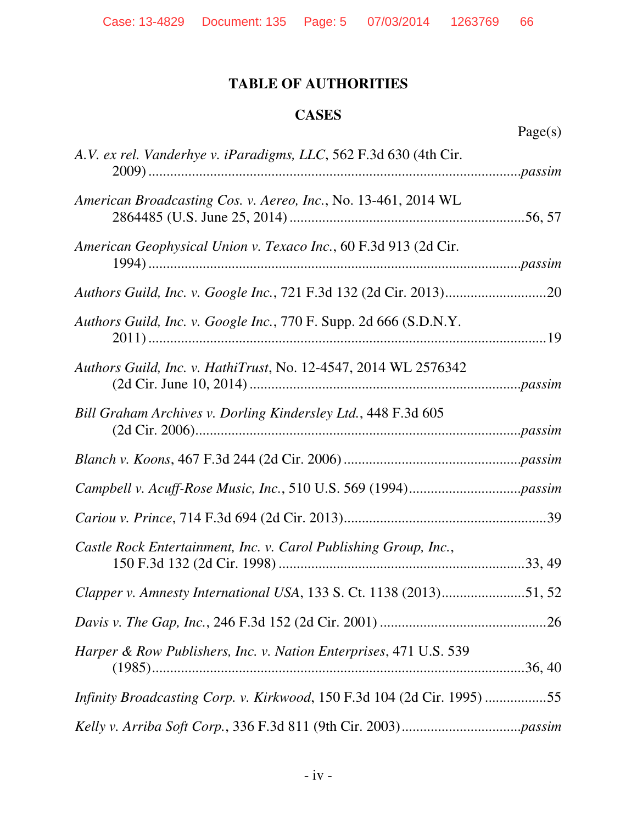# **TABLE OF AUTHORITIES**

# **CASES**

Page(s)

| A.V. ex rel. Vanderhye v. iParadigms, LLC, 562 F.3d 630 (4th Cir.       |
|-------------------------------------------------------------------------|
| American Broadcasting Cos. v. Aereo, Inc., No. 13-461, 2014 WL          |
| American Geophysical Union v. Texaco Inc., 60 F.3d 913 (2d Cir.         |
|                                                                         |
| Authors Guild, Inc. v. Google Inc., 770 F. Supp. 2d 666 (S.D.N.Y.       |
| Authors Guild, Inc. v. HathiTrust, No. 12-4547, 2014 WL 2576342         |
| Bill Graham Archives v. Dorling Kindersley Ltd., 448 F.3d 605           |
|                                                                         |
|                                                                         |
|                                                                         |
| Castle Rock Entertainment, Inc. v. Carol Publishing Group, Inc.,        |
| Clapper v. Amnesty International USA, 133 S. Ct. 1138 (2013)51, 52      |
|                                                                         |
| Harper & Row Publishers, Inc. v. Nation Enterprises, 471 U.S. 539       |
| Infinity Broadcasting Corp. v. Kirkwood, 150 F.3d 104 (2d Cir. 1995) 55 |
|                                                                         |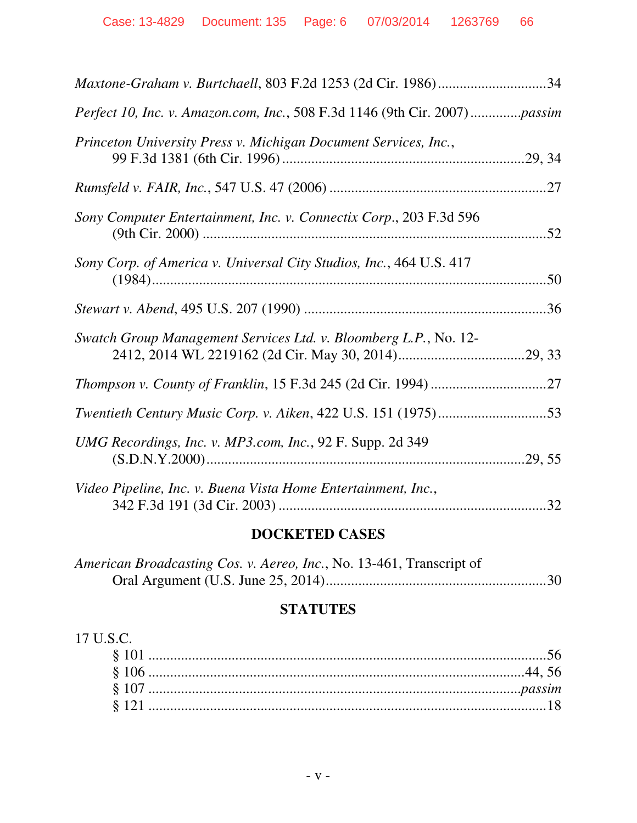| Maxtone-Graham v. Burtchaell, 803 F.2d 1253 (2d Cir. 1986)34               |
|----------------------------------------------------------------------------|
| Perfect 10, Inc. v. Amazon.com, Inc., 508 F.3d 1146 (9th Cir. 2007)passim  |
| Princeton University Press v. Michigan Document Services, Inc.,            |
|                                                                            |
| Sony Computer Entertainment, Inc. v. Connectix Corp., 203 F.3d 596         |
| Sony Corp. of America v. Universal City Studios, Inc., 464 U.S. 417<br>.50 |
|                                                                            |
| Swatch Group Management Services Ltd. v. Bloomberg L.P., No. 12-           |
|                                                                            |
|                                                                            |
| UMG Recordings, Inc. v. MP3.com, Inc., 92 F. Supp. 2d 349                  |
| Video Pipeline, Inc. v. Buena Vista Home Entertainment, Inc.,              |

# **DOCKETED CASES**

| American Broadcasting Cos. v. Aereo, Inc., No. 13-461, Transcript of |  |
|----------------------------------------------------------------------|--|
|                                                                      |  |

# **STATUTES**

| $\perp$ S. |
|------------|
|            |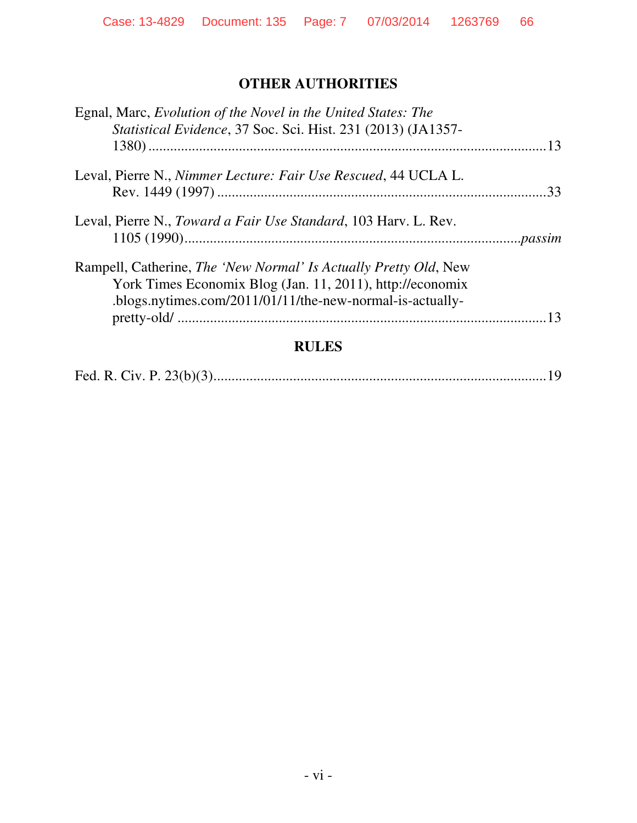# **OTHER AUTHORITIES**

| Egnal, Marc, Evolution of the Novel in the United States: The            |  |
|--------------------------------------------------------------------------|--|
| Statistical Evidence, 37 Soc. Sci. Hist. 231 (2013) (JA1357-             |  |
|                                                                          |  |
| Leval, Pierre N., Nimmer Lecture: Fair Use Rescued, 44 UCLA L.           |  |
|                                                                          |  |
| Leval, Pierre N., Toward a Fair Use Standard, 103 Harv. L. Rev.          |  |
|                                                                          |  |
| Rampell, Catherine, <i>The 'New Normal' Is Actually Pretty Old</i> , New |  |
| York Times Economix Blog (Jan. 11, 2011), http://economix                |  |
| .blogs.nytimes.com/2011/01/11/the-new-normal-is-actually-                |  |
|                                                                          |  |
|                                                                          |  |

# **RULES**

|--|--|--|--|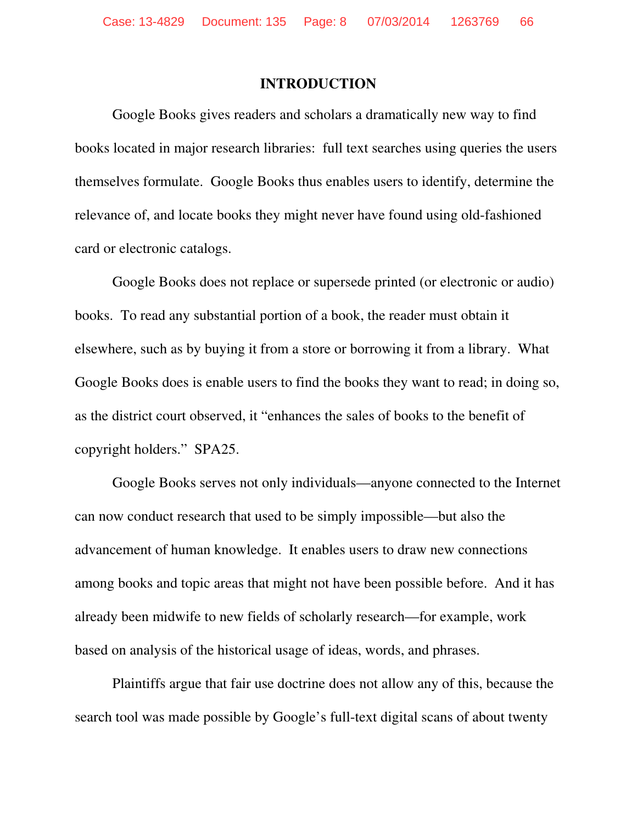#### **INTRODUCTION**

Google Books gives readers and scholars a dramatically new way to find books located in major research libraries: full text searches using queries the users themselves formulate. Google Books thus enables users to identify, determine the relevance of, and locate books they might never have found using old-fashioned card or electronic catalogs.

Google Books does not replace or supersede printed (or electronic or audio) books. To read any substantial portion of a book, the reader must obtain it elsewhere, such as by buying it from a store or borrowing it from a library. What Google Books does is enable users to find the books they want to read; in doing so, as the district court observed, it "enhances the sales of books to the benefit of copyright holders." SPA25.

Google Books serves not only individuals—anyone connected to the Internet can now conduct research that used to be simply impossible—but also the advancement of human knowledge. It enables users to draw new connections among books and topic areas that might not have been possible before. And it has already been midwife to new fields of scholarly research—for example, work based on analysis of the historical usage of ideas, words, and phrases.

Plaintiffs argue that fair use doctrine does not allow any of this, because the search tool was made possible by Google's full-text digital scans of about twenty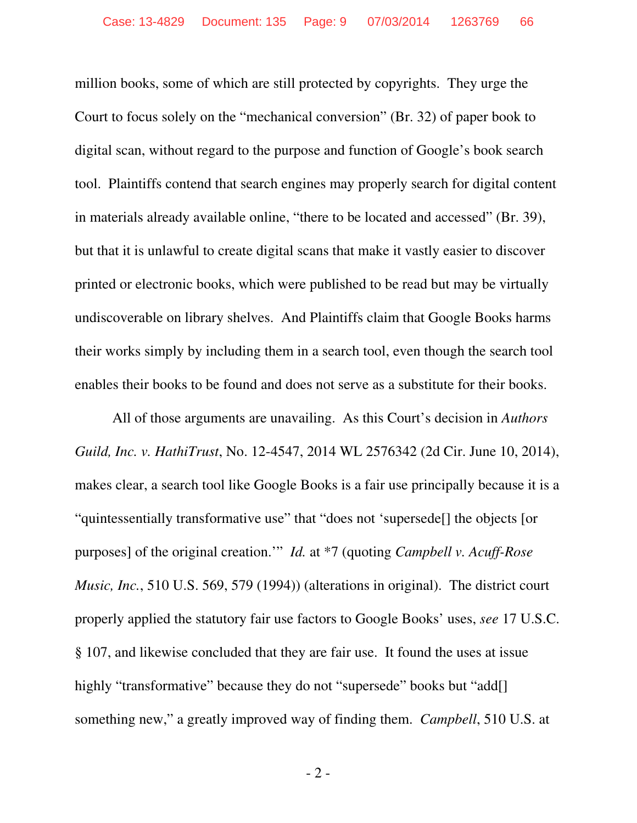million books, some of which are still protected by copyrights. They urge the Court to focus solely on the "mechanical conversion" (Br. 32) of paper book to digital scan, without regard to the purpose and function of Google's book search tool. Plaintiffs contend that search engines may properly search for digital content in materials already available online, "there to be located and accessed" (Br. 39), but that it is unlawful to create digital scans that make it vastly easier to discover printed or electronic books, which were published to be read but may be virtually undiscoverable on library shelves. And Plaintiffs claim that Google Books harms their works simply by including them in a search tool, even though the search tool enables their books to be found and does not serve as a substitute for their books.

All of those arguments are unavailing. As this Court's decision in *Authors Guild, Inc. v. HathiTrust*, No. 12-4547, 2014 WL 2576342 (2d Cir. June 10, 2014), makes clear, a search tool like Google Books is a fair use principally because it is a "quintessentially transformative use" that "does not 'supersede[] the objects [or purposes] of the original creation.'" *Id.* at \*7 (quoting *Campbell v. Acuff-Rose Music, Inc.*, 510 U.S. 569, 579 (1994)) (alterations in original). The district court properly applied the statutory fair use factors to Google Books' uses, *see* 17 U.S.C. § 107, and likewise concluded that they are fair use. It found the uses at issue highly "transformative" because they do not "supersede" books but "add[] something new," a greatly improved way of finding them. *Campbell*, 510 U.S. at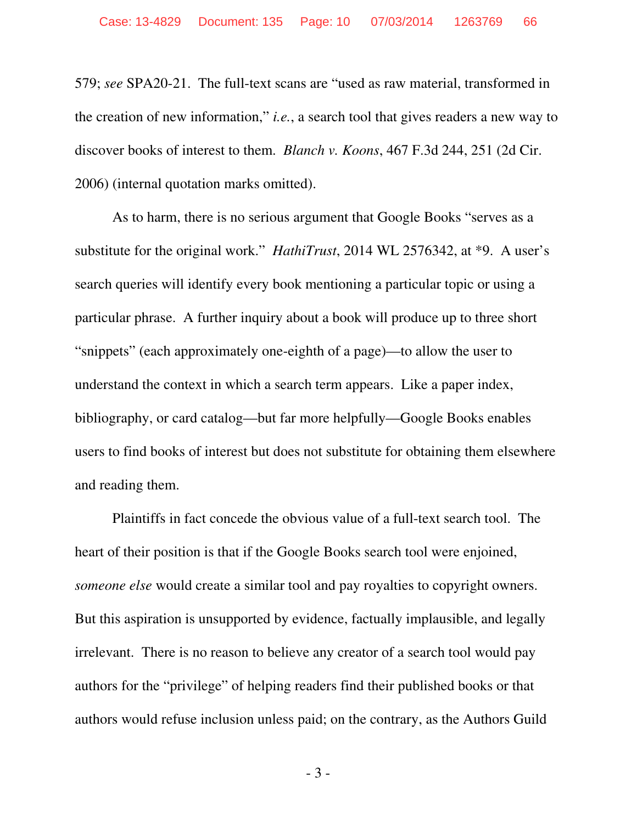579; *see* SPA20-21. The full-text scans are "used as raw material, transformed in the creation of new information," *i.e.*, a search tool that gives readers a new way to discover books of interest to them. *Blanch v. Koons*, 467 F.3d 244, 251 (2d Cir. 2006) (internal quotation marks omitted).

As to harm, there is no serious argument that Google Books "serves as a substitute for the original work." *HathiTrust*, 2014 WL 2576342, at \*9. A user's search queries will identify every book mentioning a particular topic or using a particular phrase. A further inquiry about a book will produce up to three short "snippets" (each approximately one-eighth of a page)—to allow the user to understand the context in which a search term appears. Like a paper index, bibliography, or card catalog—but far more helpfully—Google Books enables users to find books of interest but does not substitute for obtaining them elsewhere and reading them.

Plaintiffs in fact concede the obvious value of a full-text search tool. The heart of their position is that if the Google Books search tool were enjoined, *someone else* would create a similar tool and pay royalties to copyright owners. But this aspiration is unsupported by evidence, factually implausible, and legally irrelevant. There is no reason to believe any creator of a search tool would pay authors for the "privilege" of helping readers find their published books or that authors would refuse inclusion unless paid; on the contrary, as the Authors Guild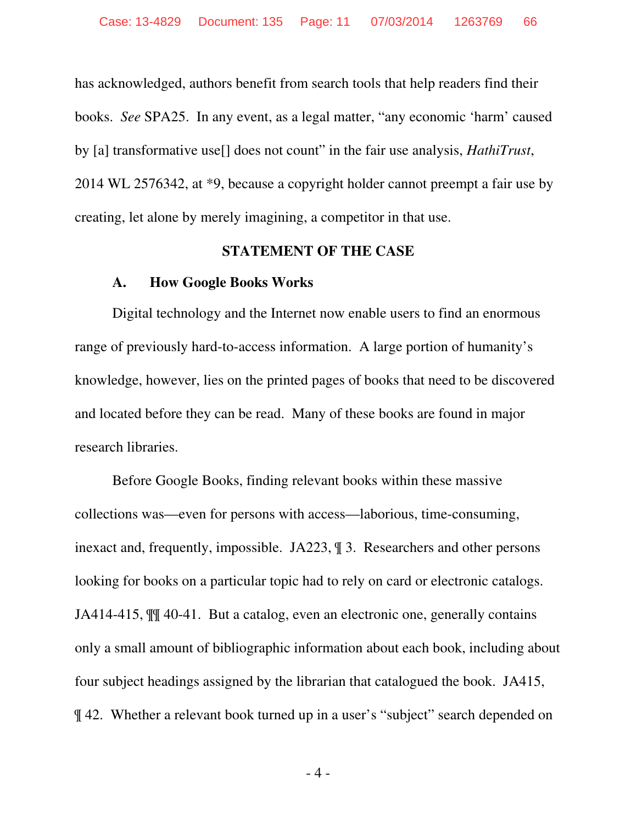has acknowledged, authors benefit from search tools that help readers find their books. *See* SPA25. In any event, as a legal matter, "any economic 'harm' caused by [a] transformative use[] does not count" in the fair use analysis, *HathiTrust*, 2014 WL 2576342, at \*9, because a copyright holder cannot preempt a fair use by creating, let alone by merely imagining, a competitor in that use.

#### **STATEMENT OF THE CASE**

#### **A. How Google Books Works**

Digital technology and the Internet now enable users to find an enormous range of previously hard-to-access information. A large portion of humanity's knowledge, however, lies on the printed pages of books that need to be discovered and located before they can be read. Many of these books are found in major research libraries.

Before Google Books, finding relevant books within these massive collections was—even for persons with access—laborious, time-consuming, inexact and, frequently, impossible. JA223, ¶ 3. Researchers and other persons looking for books on a particular topic had to rely on card or electronic catalogs. JA414-415, ¶¶ 40-41. But a catalog, even an electronic one, generally contains only a small amount of bibliographic information about each book, including about four subject headings assigned by the librarian that catalogued the book. JA415, ¶ 42. Whether a relevant book turned up in a user's "subject" search depended on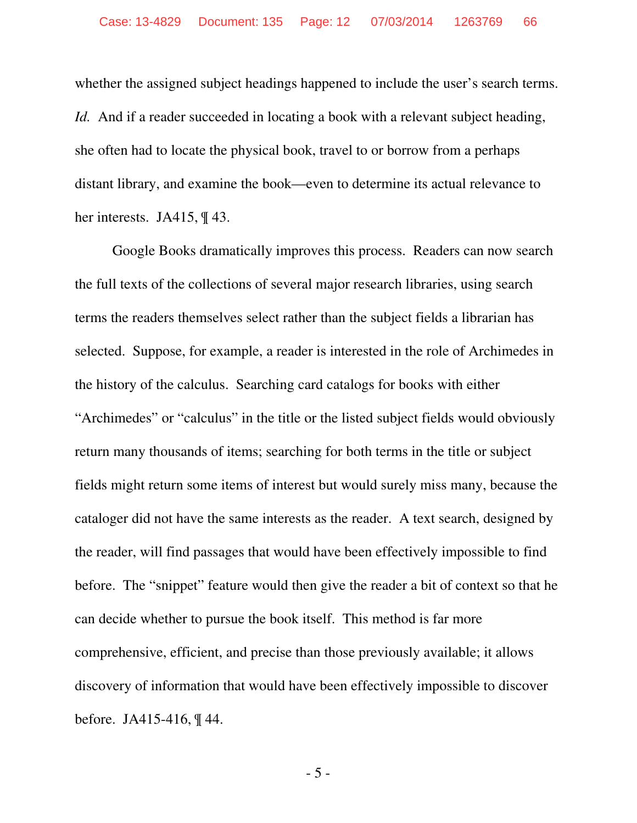whether the assigned subject headings happened to include the user's search terms. *Id.* And if a reader succeeded in locating a book with a relevant subject heading, she often had to locate the physical book, travel to or borrow from a perhaps distant library, and examine the book—even to determine its actual relevance to her interests. JA415, ¶ 43.

Google Books dramatically improves this process. Readers can now search the full texts of the collections of several major research libraries, using search terms the readers themselves select rather than the subject fields a librarian has selected. Suppose, for example, a reader is interested in the role of Archimedes in the history of the calculus. Searching card catalogs for books with either "Archimedes" or "calculus" in the title or the listed subject fields would obviously return many thousands of items; searching for both terms in the title or subject fields might return some items of interest but would surely miss many, because the cataloger did not have the same interests as the reader. A text search, designed by the reader, will find passages that would have been effectively impossible to find before. The "snippet" feature would then give the reader a bit of context so that he can decide whether to pursue the book itself. This method is far more comprehensive, efficient, and precise than those previously available; it allows discovery of information that would have been effectively impossible to discover before. JA415-416, ¶ 44.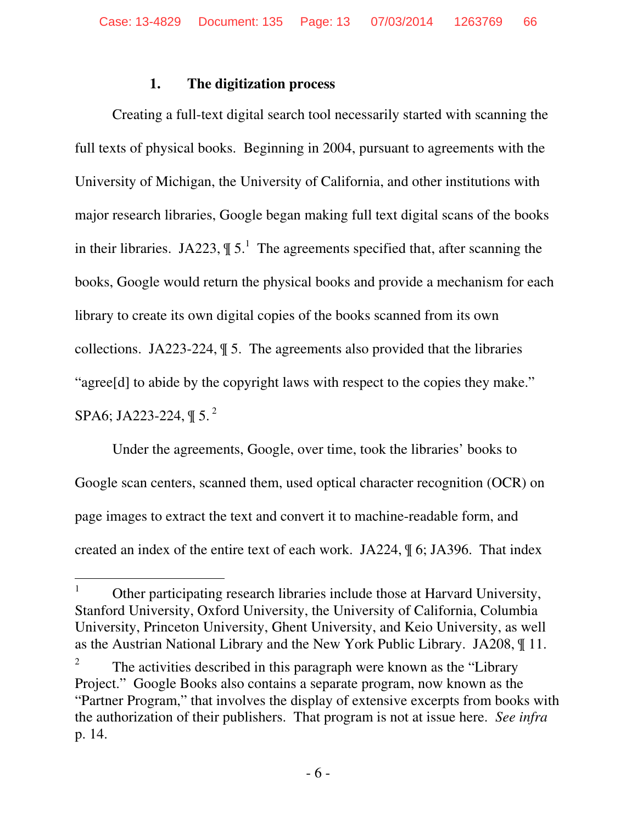### **1. The digitization process**

Creating a full-text digital search tool necessarily started with scanning the full texts of physical books. Beginning in 2004, pursuant to agreements with the University of Michigan, the University of California, and other institutions with major research libraries, Google began making full text digital scans of the books in their libraries. JA223,  $\P 5<sup>1</sup>$  The agreements specified that, after scanning the books, Google would return the physical books and provide a mechanism for each library to create its own digital copies of the books scanned from its own collections. JA223-224, ¶ 5. The agreements also provided that the libraries "agree[d] to abide by the copyright laws with respect to the copies they make." SPA6; JA223-224,  $\mathbb{I}$  5.<sup>2</sup>

Under the agreements, Google, over time, took the libraries' books to Google scan centers, scanned them, used optical character recognition (OCR) on page images to extract the text and convert it to machine-readable form, and created an index of the entire text of each work. JA224, ¶ 6; JA396. That index

 $\overline{a}$ 1 Other participating research libraries include those at Harvard University, Stanford University, Oxford University, the University of California, Columbia University, Princeton University, Ghent University, and Keio University, as well as the Austrian National Library and the New York Public Library. JA208, ¶ 11.

<sup>2</sup> The activities described in this paragraph were known as the "Library Project." Google Books also contains a separate program, now known as the "Partner Program," that involves the display of extensive excerpts from books with the authorization of their publishers. That program is not at issue here. *See infra* p. 14.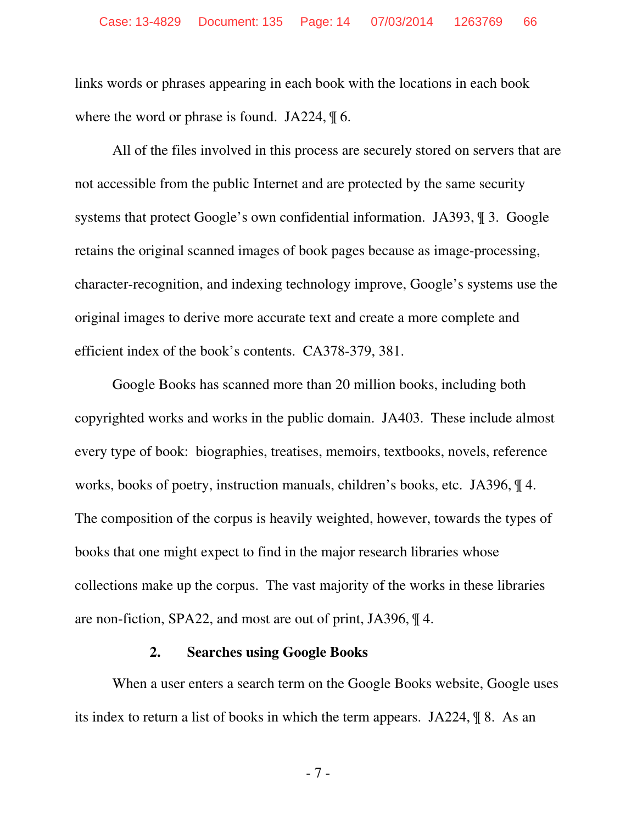links words or phrases appearing in each book with the locations in each book where the word or phrase is found. JA224,  $\parallel$  6.

All of the files involved in this process are securely stored on servers that are not accessible from the public Internet and are protected by the same security systems that protect Google's own confidential information. JA393, ¶ 3. Google retains the original scanned images of book pages because as image-processing, character-recognition, and indexing technology improve, Google's systems use the original images to derive more accurate text and create a more complete and efficient index of the book's contents. CA378-379, 381.

Google Books has scanned more than 20 million books, including both copyrighted works and works in the public domain. JA403. These include almost every type of book: biographies, treatises, memoirs, textbooks, novels, reference works, books of poetry, instruction manuals, children's books, etc. JA396, ¶ 4. The composition of the corpus is heavily weighted, however, towards the types of books that one might expect to find in the major research libraries whose collections make up the corpus. The vast majority of the works in these libraries are non-fiction, SPA22, and most are out of print, JA396, ¶ 4.

#### **2. Searches using Google Books**

When a user enters a search term on the Google Books website, Google uses its index to return a list of books in which the term appears. JA224, ¶ 8. As an

- 7 -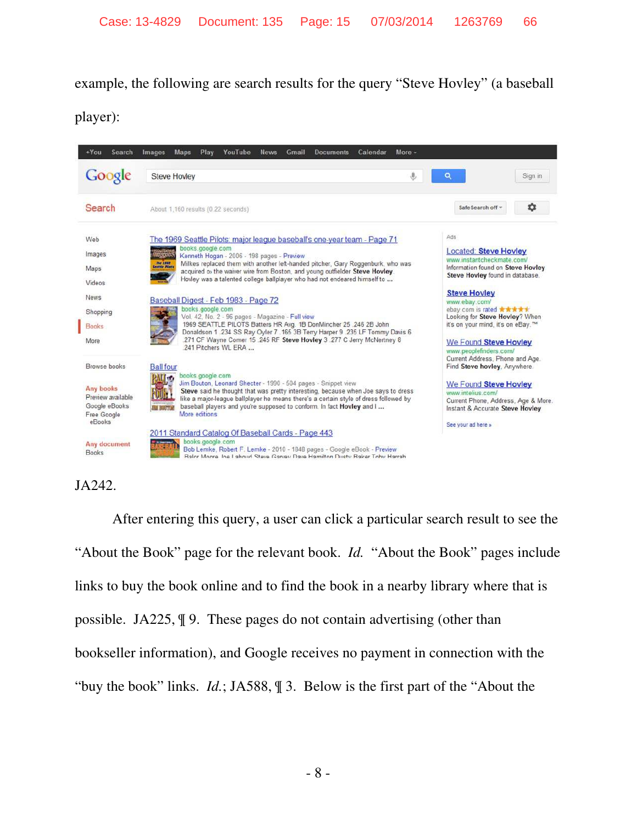example, the following are search results for the query "Steve Hovley" (a baseball

player):



# JA242.

After entering this query, a user can click a particular search result to see the "About the Book" page for the relevant book. *Id.* "About the Book" pages include links to buy the book online and to find the book in a nearby library where that is possible. JA225, ¶ 9. These pages do not contain advertising (other than bookseller information), and Google receives no payment in connection with the "buy the book" links. *Id.*; JA588, ¶ 3. Below is the first part of the "About the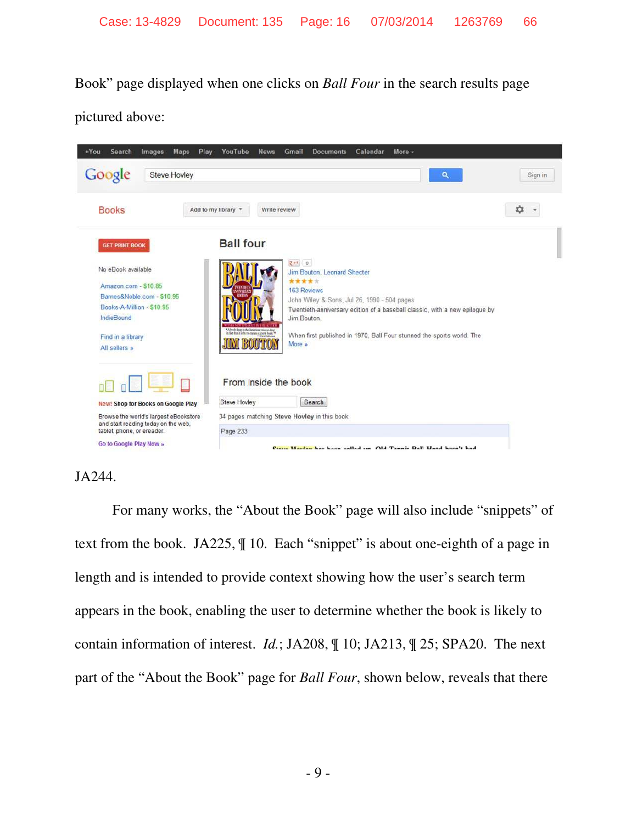Book" page displayed when one clicks on *Ball Four* in the search results page

pictured above:



### JA244.

For many works, the "About the Book" page will also include "snippets" of text from the book. JA225, ¶ 10. Each "snippet" is about one-eighth of a page in length and is intended to provide context showing how the user's search term appears in the book, enabling the user to determine whether the book is likely to contain information of interest. *Id.*; JA208, ¶ 10; JA213, ¶ 25; SPA20. The next part of the "About the Book" page for *Ball Four*, shown below, reveals that there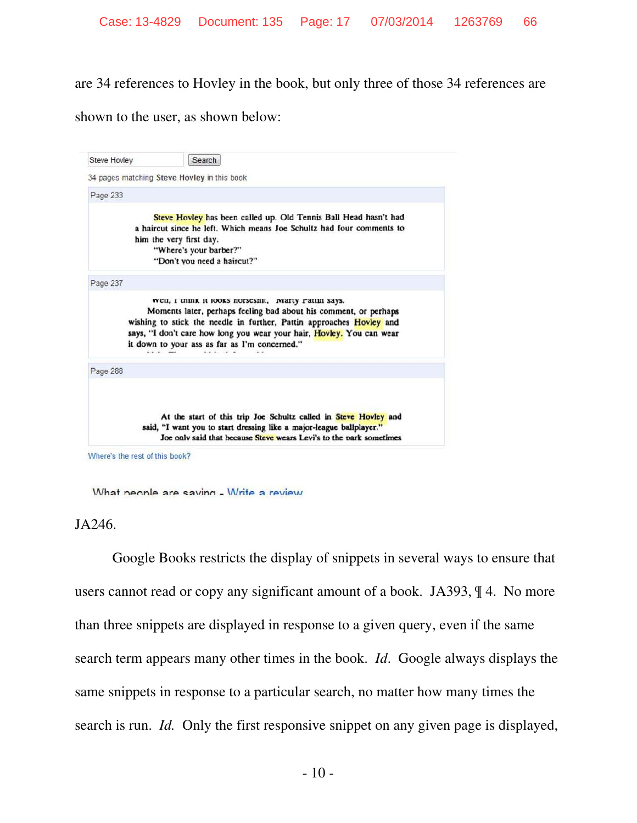are 34 references to Hovley in the book, but only three of those 34 references are

shown to the user, as shown below:

| Steve Hovley | Search                                                                                                                                                                                                                                                                                                                 |
|--------------|------------------------------------------------------------------------------------------------------------------------------------------------------------------------------------------------------------------------------------------------------------------------------------------------------------------------|
|              | 34 pages matching Steve Hovley in this book                                                                                                                                                                                                                                                                            |
| Page 233     |                                                                                                                                                                                                                                                                                                                        |
|              | Steve Hovley has been called up. Old Tennis Ball Head hasn't had<br>a haircut since he left. Which means Joe Schultz had four comments to<br>him the very first day.<br>"Where's your barber?"<br>"Don't you need a haircut?"                                                                                          |
| Page 237     |                                                                                                                                                                                                                                                                                                                        |
|              | wen, I mink it looks norsesmt, marty ratun says.<br>Moments later, perhaps feeling bad about his comment, or perhaps<br>wishing to stick the needle in further, Pattin approaches Hovley and<br>says, "I don't care how long you wear your hair, Hovley. You can wear<br>it down to your ass as far as I'm concerned." |
| Page 288     |                                                                                                                                                                                                                                                                                                                        |
|              | At the start of this trip Joe Schultz called in Steve Hovley and<br>said, "I want you to start dressing like a major-league ballplayer."<br>Joe only said that because Steve wears Levi's to the park sometimes                                                                                                        |

Where's the rest of this book?

What neonle are saving - Write a review



Google Books restricts the display of snippets in several ways to ensure that users cannot read or copy any significant amount of a book. JA393, ¶ 4. No more than three snippets are displayed in response to a given query, even if the same search term appears many other times in the book. *Id*. Google always displays the same snippets in response to a particular search, no matter how many times the search is run. *Id.* Only the first responsive snippet on any given page is displayed,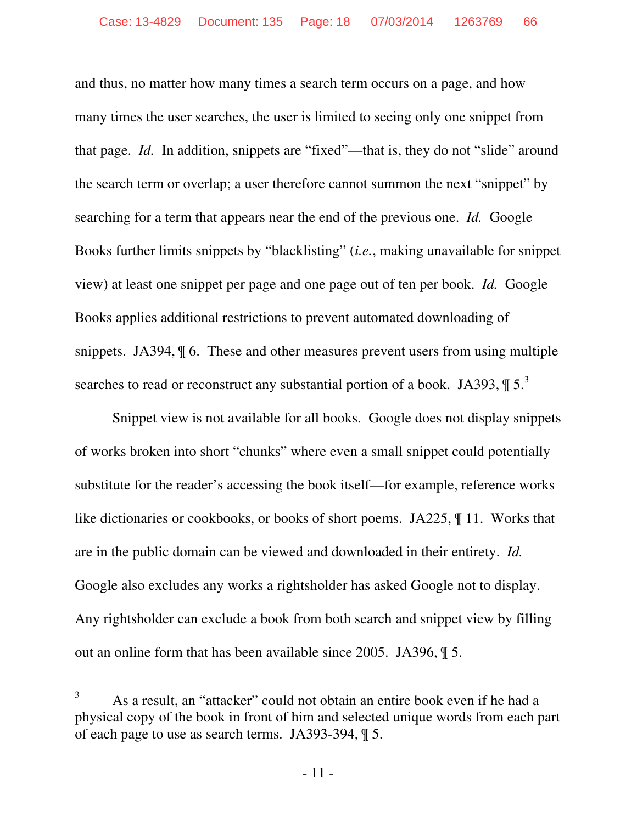and thus, no matter how many times a search term occurs on a page, and how many times the user searches, the user is limited to seeing only one snippet from that page. *Id.* In addition, snippets are "fixed"—that is, they do not "slide" around the search term or overlap; a user therefore cannot summon the next "snippet" by searching for a term that appears near the end of the previous one. *Id.* Google Books further limits snippets by "blacklisting" (*i.e.*, making unavailable for snippet view) at least one snippet per page and one page out of ten per book. *Id.* Google Books applies additional restrictions to prevent automated downloading of snippets. JA394,  $\parallel$  6. These and other measures prevent users from using multiple searches to read or reconstruct any substantial portion of a book. JA393,  $\P 5^3$ 

Snippet view is not available for all books. Google does not display snippets of works broken into short "chunks" where even a small snippet could potentially substitute for the reader's accessing the book itself—for example, reference works like dictionaries or cookbooks, or books of short poems. JA225, ¶ 11. Works that are in the public domain can be viewed and downloaded in their entirety. *Id.* Google also excludes any works a rightsholder has asked Google not to display. Any rightsholder can exclude a book from both search and snippet view by filling out an online form that has been available since 2005. JA396, ¶ 5.

-

<sup>3</sup> As a result, an "attacker" could not obtain an entire book even if he had a physical copy of the book in front of him and selected unique words from each part of each page to use as search terms. JA393-394, ¶ 5.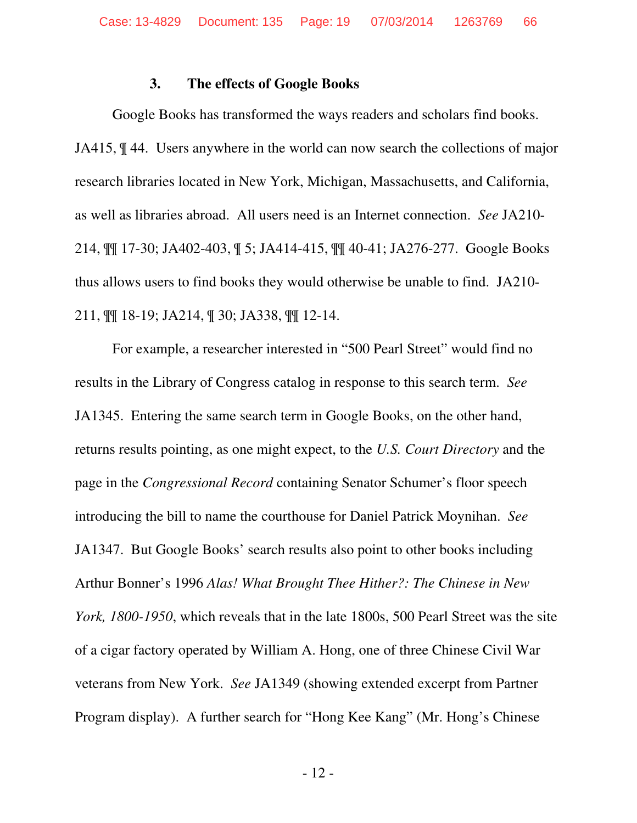#### **3. The effects of Google Books**

Google Books has transformed the ways readers and scholars find books. JA415, ¶ 44. Users anywhere in the world can now search the collections of major research libraries located in New York, Michigan, Massachusetts, and California, as well as libraries abroad. All users need is an Internet connection. *See* JA210- 214, ¶¶ 17-30; JA402-403, ¶ 5; JA414-415, ¶¶ 40-41; JA276-277. Google Books thus allows users to find books they would otherwise be unable to find. JA210- 211, ¶¶ 18-19; JA214, ¶ 30; JA338, ¶¶ 12-14.

For example, a researcher interested in "500 Pearl Street" would find no results in the Library of Congress catalog in response to this search term. *See*  JA1345. Entering the same search term in Google Books, on the other hand, returns results pointing, as one might expect, to the *U.S. Court Directory* and the page in the *Congressional Record* containing Senator Schumer's floor speech introducing the bill to name the courthouse for Daniel Patrick Moynihan. *See* JA1347. But Google Books' search results also point to other books including Arthur Bonner's 1996 *Alas! What Brought Thee Hither?: The Chinese in New York, 1800-1950*, which reveals that in the late 1800s, 500 Pearl Street was the site of a cigar factory operated by William A. Hong, one of three Chinese Civil War veterans from New York. *See* JA1349 (showing extended excerpt from Partner Program display). A further search for "Hong Kee Kang" (Mr. Hong's Chinese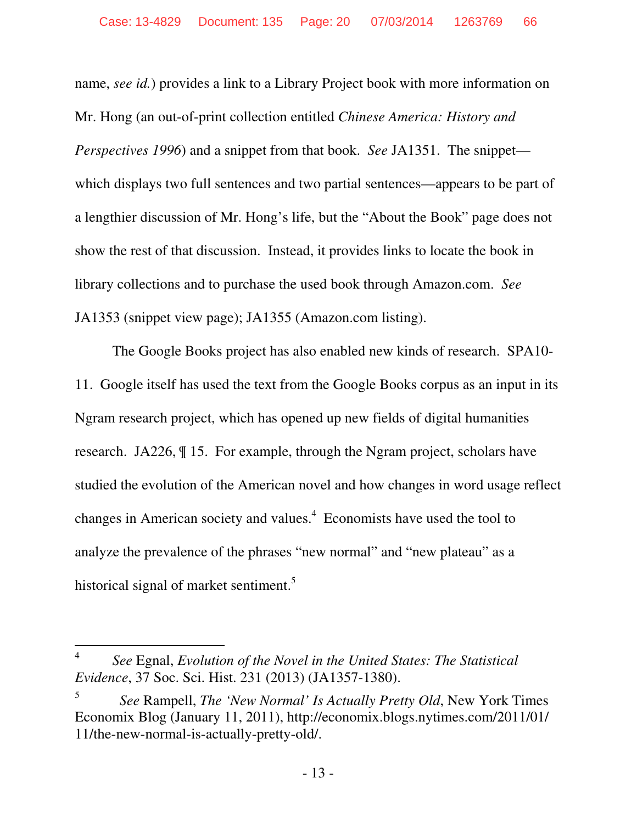name, *see id.*) provides a link to a Library Project book with more information on Mr. Hong (an out-of-print collection entitled *Chinese America: History and Perspectives 1996*) and a snippet from that book. *See* JA1351. The snippet which displays two full sentences and two partial sentences—appears to be part of a lengthier discussion of Mr. Hong's life, but the "About the Book" page does not show the rest of that discussion. Instead, it provides links to locate the book in library collections and to purchase the used book through Amazon.com. *See* JA1353 (snippet view page); JA1355 (Amazon.com listing).

The Google Books project has also enabled new kinds of research. SPA10- 11. Google itself has used the text from the Google Books corpus as an input in its Ngram research project, which has opened up new fields of digital humanities research. JA226, ¶ 15. For example, through the Ngram project, scholars have studied the evolution of the American novel and how changes in word usage reflect changes in American society and values. $4$  Economists have used the tool to analyze the prevalence of the phrases "new normal" and "new plateau" as a historical signal of market sentiment.<sup>5</sup>

 $\overline{a}$ 

<sup>4</sup>  *See* Egnal, *Evolution of the Novel in the United States: The Statistical Evidence*, 37 Soc. Sci. Hist. 231 (2013) (JA1357-1380).

<sup>5</sup> *See* Rampell, *The 'New Normal' Is Actually Pretty Old*, New York Times Economix Blog (January 11, 2011), http://economix.blogs.nytimes.com/2011/01/ 11/the-new-normal-is-actually-pretty-old/.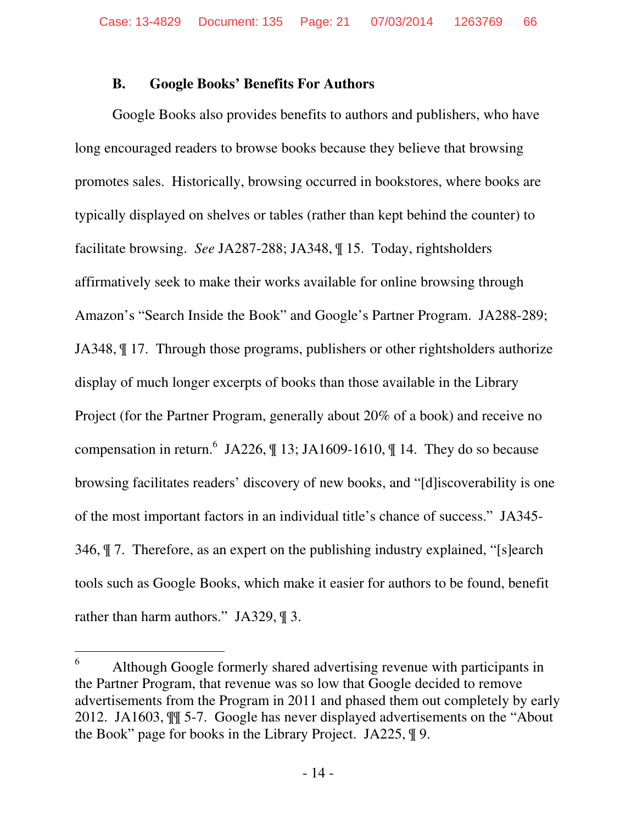### **B. Google Books' Benefits For Authors**

Google Books also provides benefits to authors and publishers, who have long encouraged readers to browse books because they believe that browsing promotes sales. Historically, browsing occurred in bookstores, where books are typically displayed on shelves or tables (rather than kept behind the counter) to facilitate browsing. *See* JA287-288; JA348, ¶ 15. Today, rightsholders affirmatively seek to make their works available for online browsing through Amazon's "Search Inside the Book" and Google's Partner Program. JA288-289; JA348, ¶ 17. Through those programs, publishers or other rightsholders authorize display of much longer excerpts of books than those available in the Library Project (for the Partner Program, generally about 20% of a book) and receive no compensation in return.  $6$  JA226,  $\parallel$  13; JA1609-1610,  $\parallel$  14. They do so because browsing facilitates readers' discovery of new books, and "[d]iscoverability is one of the most important factors in an individual title's chance of success." JA345- 346, ¶ 7. Therefore, as an expert on the publishing industry explained, "[s]earch tools such as Google Books, which make it easier for authors to be found, benefit rather than harm authors." JA329, \[\ended 3.

-

<sup>6</sup> Although Google formerly shared advertising revenue with participants in the Partner Program, that revenue was so low that Google decided to remove advertisements from the Program in 2011 and phased them out completely by early 2012. JA1603, ¶¶ 5-7. Google has never displayed advertisements on the "About the Book" page for books in the Library Project. JA225, ¶ 9.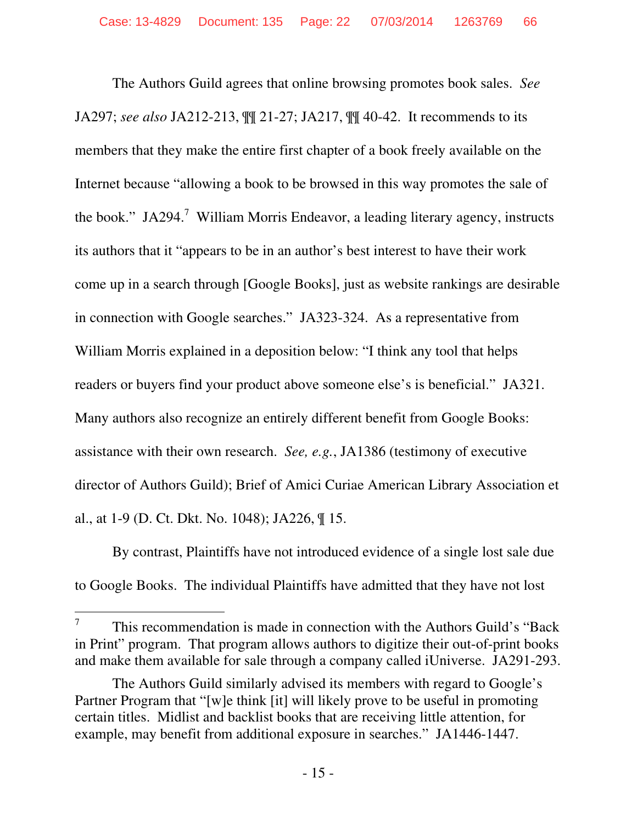The Authors Guild agrees that online browsing promotes book sales. *See* JA297; *see also* JA212-213, ¶¶ 21-27; JA217, ¶¶ 40-42. It recommends to its members that they make the entire first chapter of a book freely available on the Internet because "allowing a book to be browsed in this way promotes the sale of the book." JA294.<sup>7</sup> William Morris Endeavor, a leading literary agency, instructs its authors that it "appears to be in an author's best interest to have their work come up in a search through [Google Books], just as website rankings are desirable in connection with Google searches." JA323-324. As a representative from William Morris explained in a deposition below: "I think any tool that helps readers or buyers find your product above someone else's is beneficial." JA321. Many authors also recognize an entirely different benefit from Google Books: assistance with their own research. *See, e.g.*, JA1386 (testimony of executive director of Authors Guild); Brief of Amici Curiae American Library Association et al., at 1-9 (D. Ct. Dkt. No. 1048); JA226, ¶ 15.

By contrast, Plaintiffs have not introduced evidence of a single lost sale due to Google Books. The individual Plaintiffs have admitted that they have not lost

 $\overline{a}$ 

<sup>7</sup> This recommendation is made in connection with the Authors Guild's "Back in Print" program. That program allows authors to digitize their out-of-print books and make them available for sale through a company called iUniverse. JA291-293.

The Authors Guild similarly advised its members with regard to Google's Partner Program that "[w]e think [it] will likely prove to be useful in promoting certain titles. Midlist and backlist books that are receiving little attention, for example, may benefit from additional exposure in searches." JA1446-1447.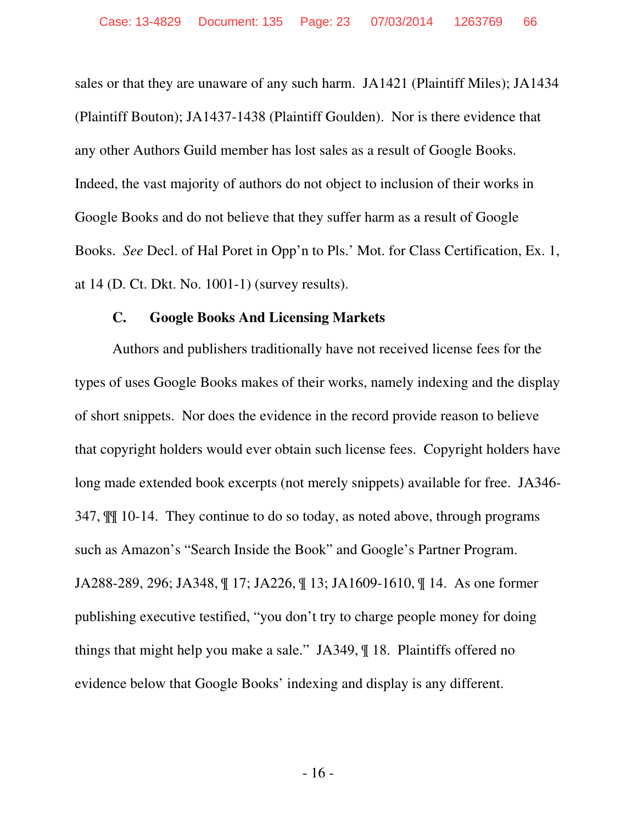sales or that they are unaware of any such harm. JA1421 (Plaintiff Miles); JA1434 (Plaintiff Bouton); JA1437-1438 (Plaintiff Goulden). Nor is there evidence that any other Authors Guild member has lost sales as a result of Google Books. Indeed, the vast majority of authors do not object to inclusion of their works in Google Books and do not believe that they suffer harm as a result of Google Books. *See* Decl. of Hal Poret in Opp'n to Pls.' Mot. for Class Certification, Ex. 1, at 14 (D. Ct. Dkt. No. 1001-1) (survey results).

### **C. Google Books And Licensing Markets**

Authors and publishers traditionally have not received license fees for the types of uses Google Books makes of their works, namely indexing and the display of short snippets. Nor does the evidence in the record provide reason to believe that copyright holders would ever obtain such license fees. Copyright holders have long made extended book excerpts (not merely snippets) available for free. JA346- 347, ¶¶ 10-14. They continue to do so today, as noted above, through programs such as Amazon's "Search Inside the Book" and Google's Partner Program. JA288-289, 296; JA348, ¶ 17; JA226, ¶ 13; JA1609-1610, ¶ 14. As one former publishing executive testified, "you don't try to charge people money for doing things that might help you make a sale." JA349, ¶ 18. Plaintiffs offered no evidence below that Google Books' indexing and display is any different.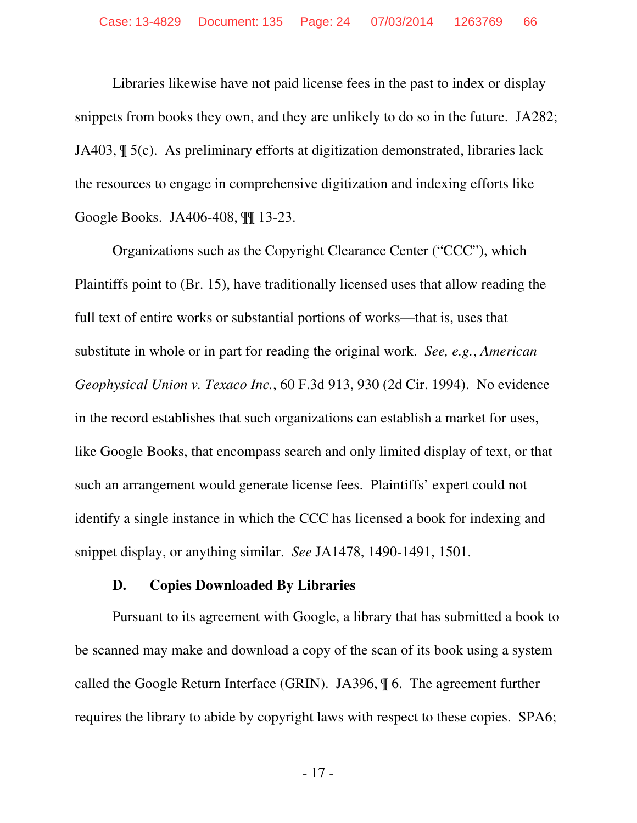Libraries likewise have not paid license fees in the past to index or display snippets from books they own, and they are unlikely to do so in the future. JA282; JA403, ¶ 5(c). As preliminary efforts at digitization demonstrated, libraries lack the resources to engage in comprehensive digitization and indexing efforts like Google Books. JA406-408, ¶¶ 13-23.

Organizations such as the Copyright Clearance Center ("CCC"), which Plaintiffs point to (Br. 15), have traditionally licensed uses that allow reading the full text of entire works or substantial portions of works—that is, uses that substitute in whole or in part for reading the original work. *See, e.g.*, *American Geophysical Union v. Texaco Inc.*, 60 F.3d 913, 930 (2d Cir. 1994). No evidence in the record establishes that such organizations can establish a market for uses, like Google Books, that encompass search and only limited display of text, or that such an arrangement would generate license fees. Plaintiffs' expert could not identify a single instance in which the CCC has licensed a book for indexing and snippet display, or anything similar. *See* JA1478, 1490-1491, 1501.

#### **D. Copies Downloaded By Libraries**

Pursuant to its agreement with Google, a library that has submitted a book to be scanned may make and download a copy of the scan of its book using a system called the Google Return Interface (GRIN). JA396, ¶ 6. The agreement further requires the library to abide by copyright laws with respect to these copies. SPA6;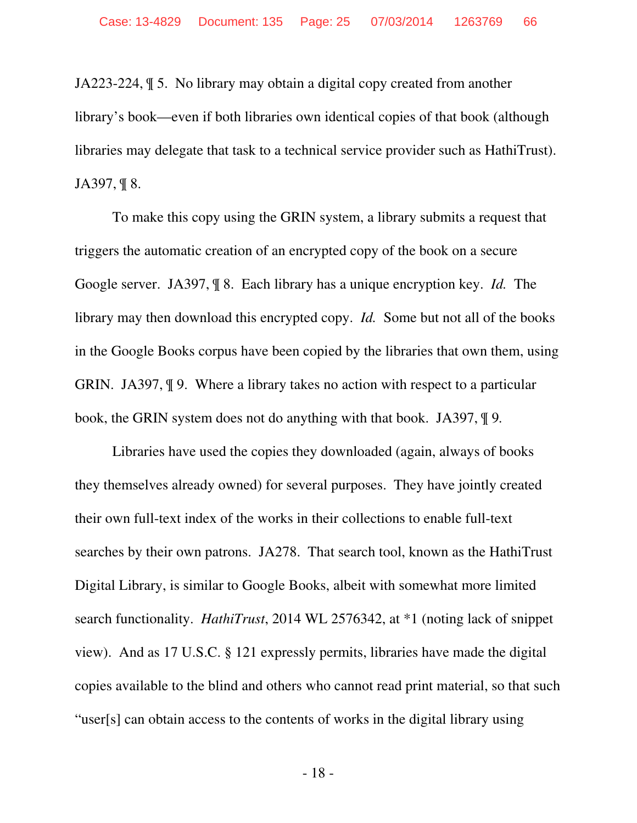JA223-224, ¶ 5. No library may obtain a digital copy created from another library's book—even if both libraries own identical copies of that book (although libraries may delegate that task to a technical service provider such as HathiTrust). JA397, ¶ 8.

To make this copy using the GRIN system, a library submits a request that triggers the automatic creation of an encrypted copy of the book on a secure Google server. JA397, ¶ 8. Each library has a unique encryption key. *Id.* The library may then download this encrypted copy. *Id.* Some but not all of the books in the Google Books corpus have been copied by the libraries that own them, using GRIN. JA397, ¶ 9. Where a library takes no action with respect to a particular book, the GRIN system does not do anything with that book. JA397, ¶ 9*.*

Libraries have used the copies they downloaded (again, always of books they themselves already owned) for several purposes. They have jointly created their own full-text index of the works in their collections to enable full-text searches by their own patrons. JA278. That search tool, known as the HathiTrust Digital Library, is similar to Google Books, albeit with somewhat more limited search functionality. *HathiTrust*, 2014 WL 2576342, at \*1 (noting lack of snippet view). And as 17 U.S.C. § 121 expressly permits, libraries have made the digital copies available to the blind and others who cannot read print material, so that such "user[s] can obtain access to the contents of works in the digital library using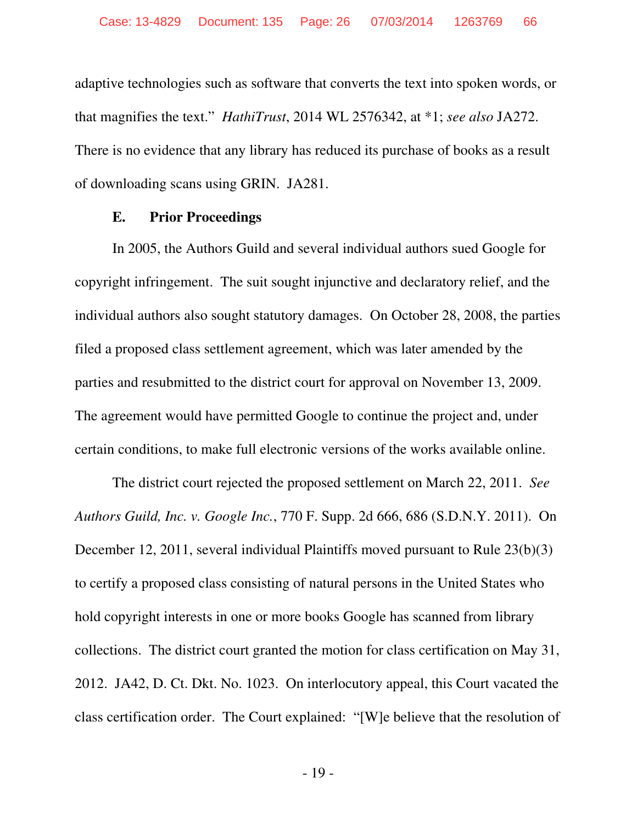adaptive technologies such as software that converts the text into spoken words, or that magnifies the text." *HathiTrust*, 2014 WL 2576342, at \*1; *see also* JA272. There is no evidence that any library has reduced its purchase of books as a result of downloading scans using GRIN. JA281.

#### **E. Prior Proceedings**

In 2005, the Authors Guild and several individual authors sued Google for copyright infringement. The suit sought injunctive and declaratory relief, and the individual authors also sought statutory damages. On October 28, 2008, the parties filed a proposed class settlement agreement, which was later amended by the parties and resubmitted to the district court for approval on November 13, 2009. The agreement would have permitted Google to continue the project and, under certain conditions, to make full electronic versions of the works available online.

The district court rejected the proposed settlement on March 22, 2011. *See Authors Guild, Inc. v. Google Inc.*, 770 F. Supp. 2d 666, 686 (S.D.N.Y. 2011). On December 12, 2011, several individual Plaintiffs moved pursuant to Rule 23(b)(3) to certify a proposed class consisting of natural persons in the United States who hold copyright interests in one or more books Google has scanned from library collections. The district court granted the motion for class certification on May 31, 2012. JA42, D. Ct. Dkt. No. 1023. On interlocutory appeal, this Court vacated the class certification order. The Court explained: "[W]e believe that the resolution of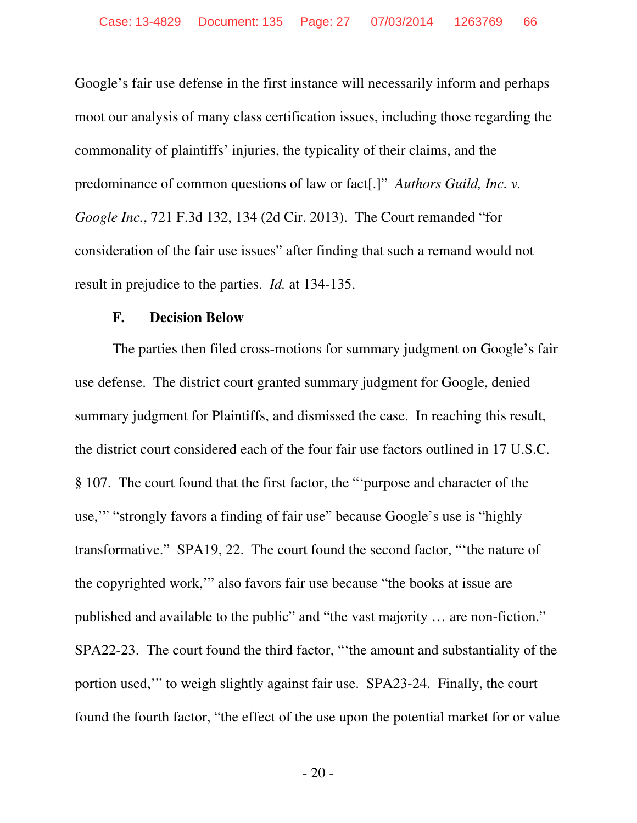Google's fair use defense in the first instance will necessarily inform and perhaps moot our analysis of many class certification issues, including those regarding the commonality of plaintiffs' injuries, the typicality of their claims, and the predominance of common questions of law or fact[.]" *Authors Guild, Inc. v. Google Inc.*, 721 F.3d 132, 134 (2d Cir. 2013). The Court remanded "for consideration of the fair use issues" after finding that such a remand would not result in prejudice to the parties. *Id.* at 134-135.

#### **F. Decision Below**

The parties then filed cross-motions for summary judgment on Google's fair use defense. The district court granted summary judgment for Google, denied summary judgment for Plaintiffs, and dismissed the case. In reaching this result, the district court considered each of the four fair use factors outlined in 17 U.S.C. § 107. The court found that the first factor, the "'purpose and character of the use,'" "strongly favors a finding of fair use" because Google's use is "highly transformative." SPA19, 22. The court found the second factor, "'the nature of the copyrighted work,'" also favors fair use because "the books at issue are published and available to the public" and "the vast majority … are non-fiction." SPA22-23. The court found the third factor, "'the amount and substantiality of the portion used,'" to weigh slightly against fair use. SPA23-24. Finally, the court found the fourth factor, "the effect of the use upon the potential market for or value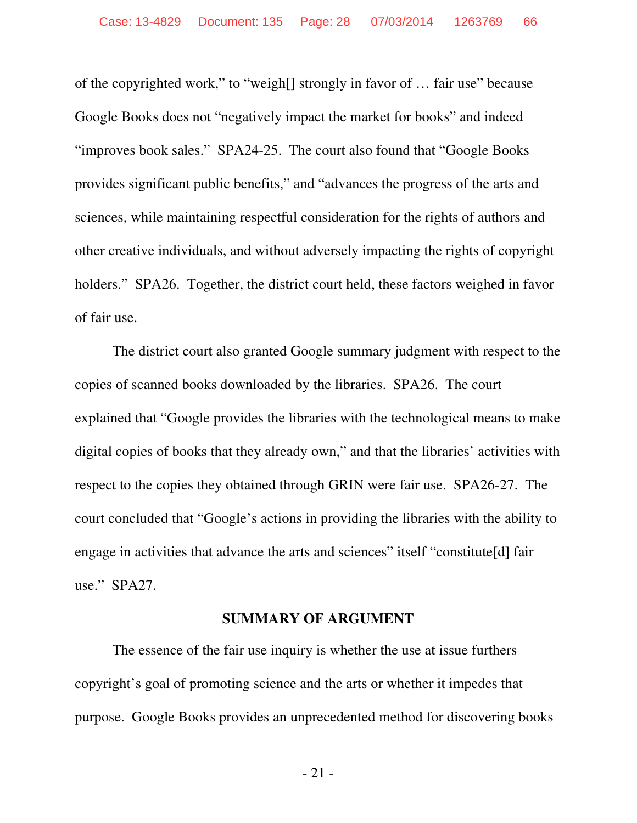of the copyrighted work," to "weigh[] strongly in favor of … fair use" because Google Books does not "negatively impact the market for books" and indeed "improves book sales." SPA24-25. The court also found that "Google Books provides significant public benefits," and "advances the progress of the arts and sciences, while maintaining respectful consideration for the rights of authors and other creative individuals, and without adversely impacting the rights of copyright holders." SPA26. Together, the district court held, these factors weighed in favor of fair use.

The district court also granted Google summary judgment with respect to the copies of scanned books downloaded by the libraries. SPA26. The court explained that "Google provides the libraries with the technological means to make digital copies of books that they already own," and that the libraries' activities with respect to the copies they obtained through GRIN were fair use. SPA26-27. The court concluded that "Google's actions in providing the libraries with the ability to engage in activities that advance the arts and sciences" itself "constitute[d] fair use." SPA27.

#### **SUMMARY OF ARGUMENT**

The essence of the fair use inquiry is whether the use at issue furthers copyright's goal of promoting science and the arts or whether it impedes that purpose. Google Books provides an unprecedented method for discovering books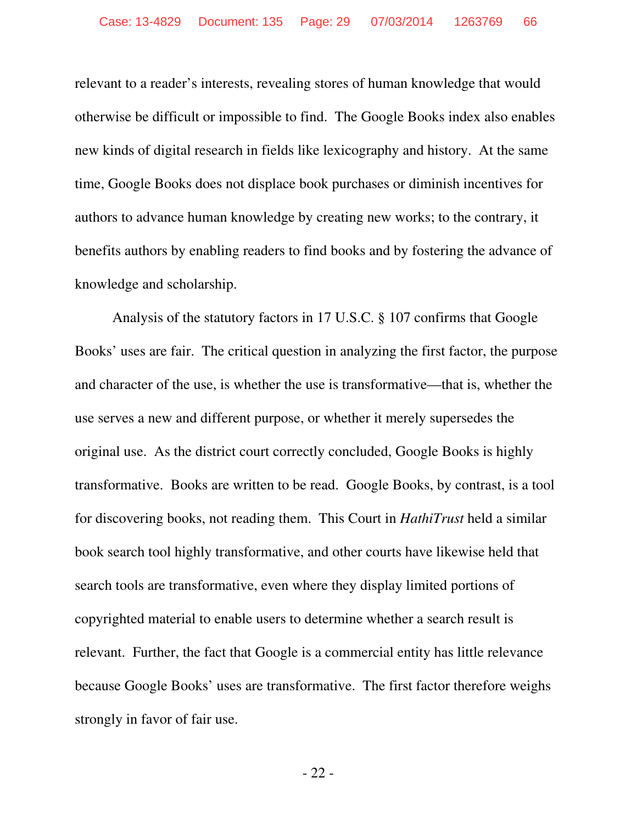relevant to a reader's interests, revealing stores of human knowledge that would otherwise be difficult or impossible to find. The Google Books index also enables new kinds of digital research in fields like lexicography and history. At the same time, Google Books does not displace book purchases or diminish incentives for authors to advance human knowledge by creating new works; to the contrary, it benefits authors by enabling readers to find books and by fostering the advance of knowledge and scholarship.

Analysis of the statutory factors in 17 U.S.C. § 107 confirms that Google Books' uses are fair. The critical question in analyzing the first factor, the purpose and character of the use, is whether the use is transformative—that is, whether the use serves a new and different purpose, or whether it merely supersedes the original use. As the district court correctly concluded, Google Books is highly transformative. Books are written to be read. Google Books, by contrast, is a tool for discovering books, not reading them. This Court in *HathiTrust* held a similar book search tool highly transformative, and other courts have likewise held that search tools are transformative, even where they display limited portions of copyrighted material to enable users to determine whether a search result is relevant. Further, the fact that Google is a commercial entity has little relevance because Google Books' uses are transformative. The first factor therefore weighs strongly in favor of fair use.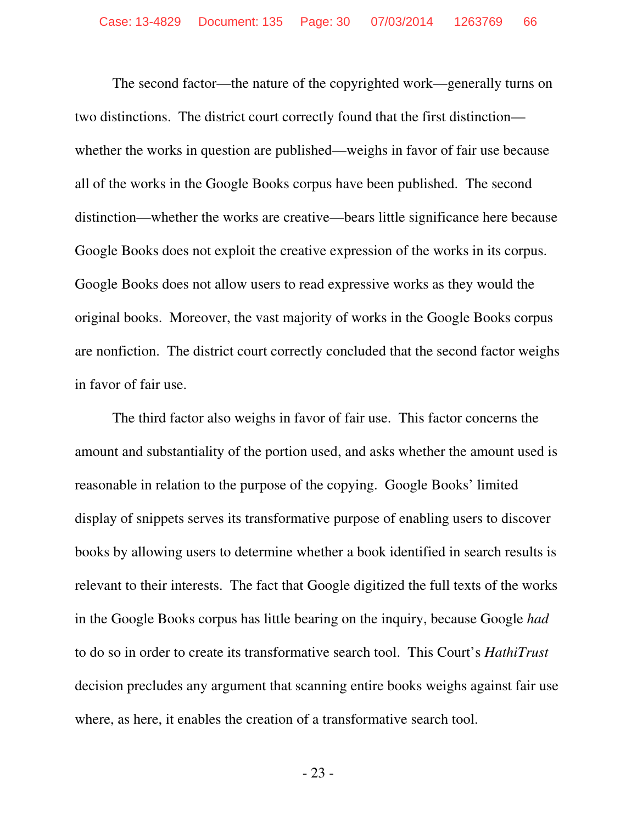The second factor—the nature of the copyrighted work—generally turns on two distinctions. The district court correctly found that the first distinction whether the works in question are published—weighs in favor of fair use because all of the works in the Google Books corpus have been published. The second distinction—whether the works are creative—bears little significance here because Google Books does not exploit the creative expression of the works in its corpus. Google Books does not allow users to read expressive works as they would the original books. Moreover, the vast majority of works in the Google Books corpus are nonfiction. The district court correctly concluded that the second factor weighs in favor of fair use.

The third factor also weighs in favor of fair use. This factor concerns the amount and substantiality of the portion used, and asks whether the amount used is reasonable in relation to the purpose of the copying. Google Books' limited display of snippets serves its transformative purpose of enabling users to discover books by allowing users to determine whether a book identified in search results is relevant to their interests. The fact that Google digitized the full texts of the works in the Google Books corpus has little bearing on the inquiry, because Google *had* to do so in order to create its transformative search tool. This Court's *HathiTrust* decision precludes any argument that scanning entire books weighs against fair use where, as here, it enables the creation of a transformative search tool.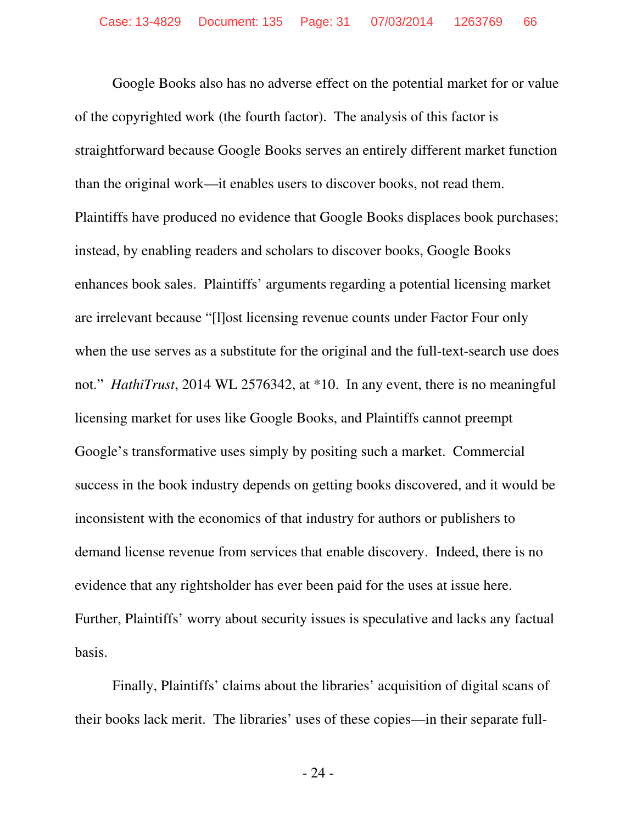Google Books also has no adverse effect on the potential market for or value of the copyrighted work (the fourth factor). The analysis of this factor is straightforward because Google Books serves an entirely different market function than the original work—it enables users to discover books, not read them. Plaintiffs have produced no evidence that Google Books displaces book purchases; instead, by enabling readers and scholars to discover books, Google Books enhances book sales. Plaintiffs' arguments regarding a potential licensing market are irrelevant because "[l]ost licensing revenue counts under Factor Four only when the use serves as a substitute for the original and the full-text-search use does not." *HathiTrust*, 2014 WL 2576342, at \*10. In any event, there is no meaningful licensing market for uses like Google Books, and Plaintiffs cannot preempt Google's transformative uses simply by positing such a market. Commercial success in the book industry depends on getting books discovered, and it would be inconsistent with the economics of that industry for authors or publishers to demand license revenue from services that enable discovery. Indeed, there is no evidence that any rightsholder has ever been paid for the uses at issue here. Further, Plaintiffs' worry about security issues is speculative and lacks any factual basis.

Finally, Plaintiffs' claims about the libraries' acquisition of digital scans of their books lack merit. The libraries' uses of these copies—in their separate full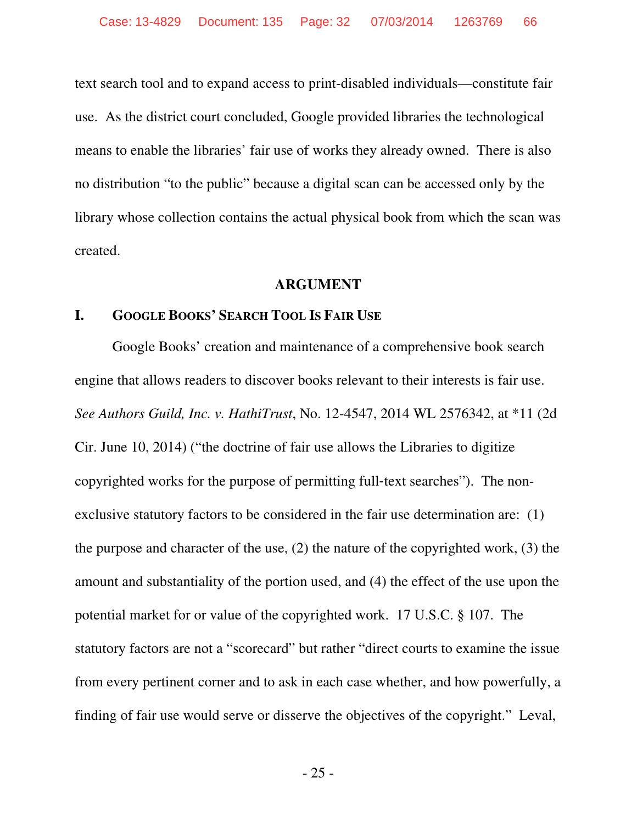text search tool and to expand access to print-disabled individuals—constitute fair use. As the district court concluded, Google provided libraries the technological means to enable the libraries' fair use of works they already owned. There is also no distribution "to the public" because a digital scan can be accessed only by the library whose collection contains the actual physical book from which the scan was created.

#### **ARGUMENT**

#### **I. GOOGLE BOOKS' SEARCH TOOL IS FAIR USE**

Google Books' creation and maintenance of a comprehensive book search engine that allows readers to discover books relevant to their interests is fair use. *See Authors Guild, Inc. v. HathiTrust*, No. 12-4547, 2014 WL 2576342, at \*11 (2d Cir. June 10, 2014) ("the doctrine of fair use allows the Libraries to digitize copyrighted works for the purpose of permitting full‐text searches"). The nonexclusive statutory factors to be considered in the fair use determination are: (1) the purpose and character of the use, (2) the nature of the copyrighted work, (3) the amount and substantiality of the portion used, and (4) the effect of the use upon the potential market for or value of the copyrighted work. 17 U.S.C. § 107. The statutory factors are not a "scorecard" but rather "direct courts to examine the issue from every pertinent corner and to ask in each case whether, and how powerfully, a finding of fair use would serve or disserve the objectives of the copyright." Leval,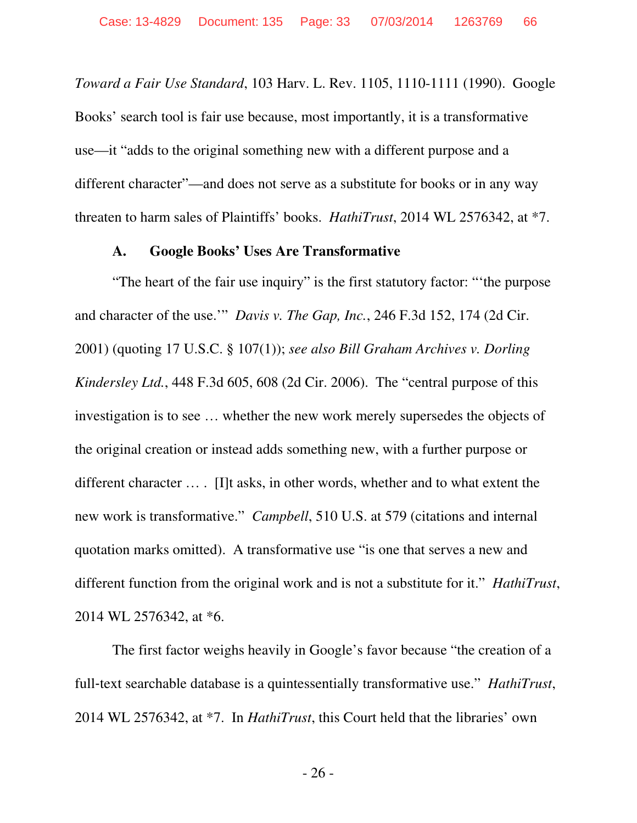*Toward a Fair Use Standard*, 103 Harv. L. Rev. 1105, 1110-1111 (1990). Google Books' search tool is fair use because, most importantly, it is a transformative use—it "adds to the original something new with a different purpose and a different character"—and does not serve as a substitute for books or in any way threaten to harm sales of Plaintiffs' books. *HathiTrust*, 2014 WL 2576342, at \*7.

### **A. Google Books' Uses Are Transformative**

"The heart of the fair use inquiry" is the first statutory factor: "'the purpose and character of the use.'" *Davis v. The Gap, Inc.*, 246 F.3d 152, 174 (2d Cir. 2001) (quoting 17 U.S.C. § 107(1)); *see also Bill Graham Archives v. Dorling Kindersley Ltd.*, 448 F.3d 605, 608 (2d Cir. 2006). The "central purpose of this investigation is to see … whether the new work merely supersedes the objects of the original creation or instead adds something new, with a further purpose or different character … . [I]t asks, in other words, whether and to what extent the new work is transformative." *Campbell*, 510 U.S. at 579 (citations and internal quotation marks omitted). A transformative use "is one that serves a new and different function from the original work and is not a substitute for it." *HathiTrust*, 2014 WL 2576342, at \*6.

The first factor weighs heavily in Google's favor because "the creation of a full-text searchable database is a quintessentially transformative use." *HathiTrust*, 2014 WL 2576342, at \*7. In *HathiTrust*, this Court held that the libraries' own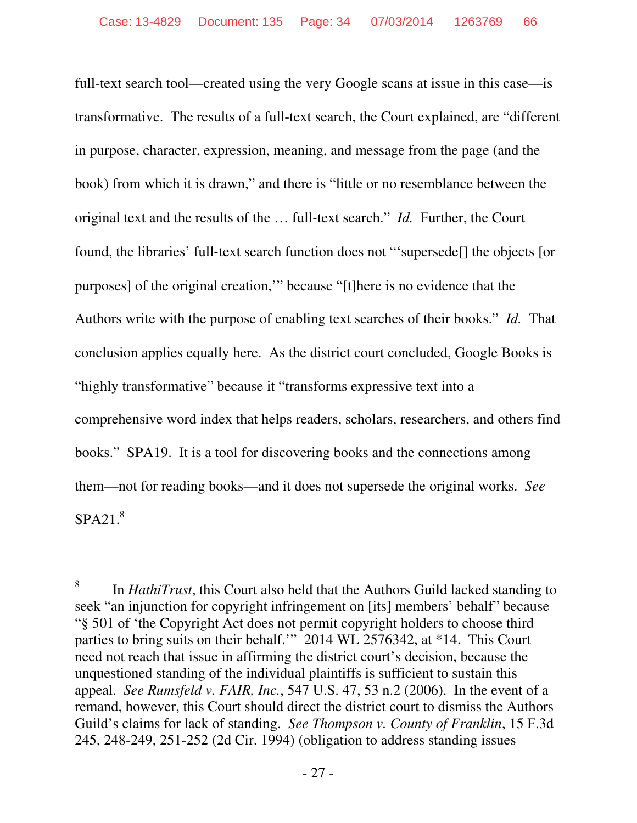full-text search tool—created using the very Google scans at issue in this case—is transformative. The results of a full-text search, the Court explained, are "different in purpose, character, expression, meaning, and message from the page (and the book) from which it is drawn," and there is "little or no resemblance between the original text and the results of the ... full-text search." *Id.* Further, the Court found, the libraries' full-text search function does not "'supersede<sup>[]</sup> the objects [or purposes] of the original creation,'" because "[t]here is no evidence that the Authors write with the purpose of enabling text searches of their books." *Id.* That conclusion applies equally here. As the district court concluded, Google Books is "highly transformative" because it "transforms expressive text into a comprehensive word index that helps readers, scholars, researchers, and others find books." SPA19. It is a tool for discovering books and the connections among them—not for reading books—and it does not supersede the original works. *See*  $SPA21<sup>8</sup>$ 

 $\overline{a}$ 

<sup>8</sup> In *HathiTrust*, this Court also held that the Authors Guild lacked standing to seek "an injunction for copyright infringement on [its] members' behalf" because "§ 501 of 'the Copyright Act does not permit copyright holders to choose third parties to bring suits on their behalf.'" 2014 WL 2576342, at \*14. This Court need not reach that issue in affirming the district court's decision, because the unquestioned standing of the individual plaintiffs is sufficient to sustain this appeal. *See Rumsfeld v. FAIR, Inc.*, 547 U.S. 47, 53 n.2 (2006). In the event of a remand, however, this Court should direct the district court to dismiss the Authors Guild's claims for lack of standing. *See Thompson v. County of Franklin*, 15 F.3d 245, 248-249, 251-252 (2d Cir. 1994) (obligation to address standing issues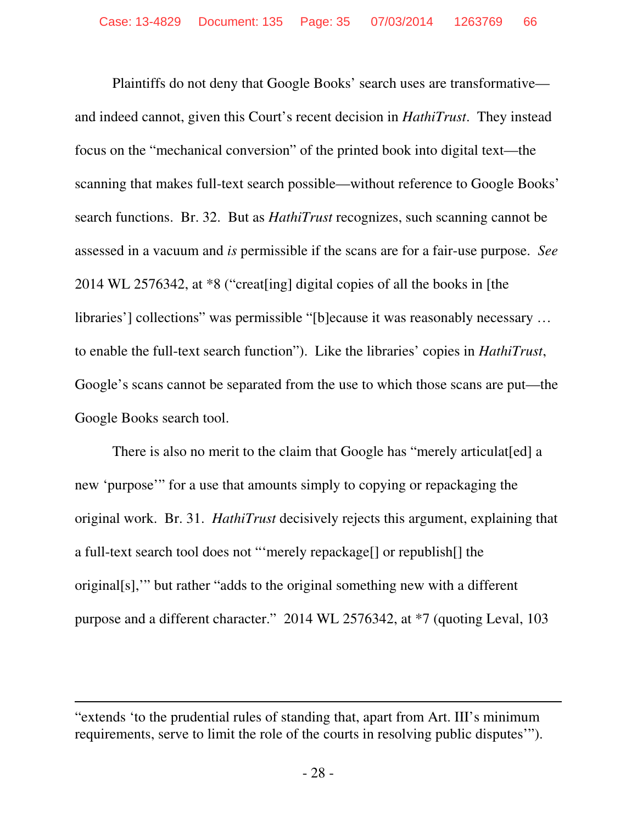Plaintiffs do not deny that Google Books' search uses are transformative and indeed cannot, given this Court's recent decision in *HathiTrust*. They instead focus on the "mechanical conversion" of the printed book into digital text—the scanning that makes full-text search possible—without reference to Google Books' search functions. Br. 32. But as *HathiTrust* recognizes, such scanning cannot be assessed in a vacuum and *is* permissible if the scans are for a fair-use purpose. *See*  2014 WL 2576342, at \*8 ("creat[ing] digital copies of all the books in [the libraries'] collections" was permissible "[b]ecause it was reasonably necessary … to enable the full-text search function"). Like the libraries' copies in *HathiTrust*, Google's scans cannot be separated from the use to which those scans are put—the Google Books search tool.

There is also no merit to the claim that Google has "merely articulated] a new 'purpose'" for a use that amounts simply to copying or repackaging the original work. Br. 31. *HathiTrust* decisively rejects this argument, explaining that a full-text search tool does not "'merely repackage[] or republish[] the original[s],'" but rather "adds to the original something new with a different purpose and a different character." 2014 WL 2576342, at \*7 (quoting Leval, 103

 $\overline{a}$ 

<sup>&</sup>quot;extends 'to the prudential rules of standing that, apart from Art. III's minimum requirements, serve to limit the role of the courts in resolving public disputes'").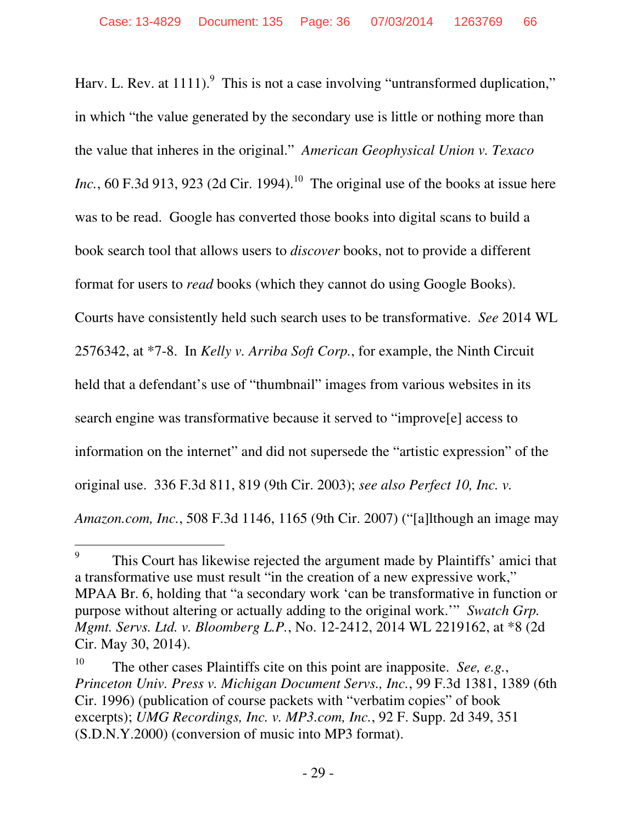Harv. L. Rev. at  $1111$ .<sup>9</sup> This is not a case involving "untransformed duplication," in which "the value generated by the secondary use is little or nothing more than the value that inheres in the original." *American Geophysical Union v. Texaco Inc.*, 60 F.3d 913, 923 (2d Cir. 1994).<sup>10</sup> The original use of the books at issue here was to be read. Google has converted those books into digital scans to build a book search tool that allows users to *discover* books, not to provide a different format for users to *read* books (which they cannot do using Google Books). Courts have consistently held such search uses to be transformative. *See* 2014 WL 2576342, at \*7-8. In *Kelly v. Arriba Soft Corp.*, for example, the Ninth Circuit held that a defendant's use of "thumbnail" images from various websites in its search engine was transformative because it served to "improve[e] access to information on the internet" and did not supersede the "artistic expression" of the original use. 336 F.3d 811, 819 (9th Cir. 2003); *see also Perfect 10, Inc. v. Amazon.com, Inc.*, 508 F.3d 1146, 1165 (9th Cir. 2007) ("[a]lthough an image may

-

<sup>9</sup> This Court has likewise rejected the argument made by Plaintiffs' amici that a transformative use must result "in the creation of a new expressive work," MPAA Br. 6, holding that "a secondary work 'can be transformative in function or purpose without altering or actually adding to the original work.'" *Swatch Grp. Mgmt. Servs. Ltd. v. Bloomberg L.P.*, No. 12-2412, 2014 WL 2219162, at \*8 (2d Cir. May 30, 2014).

<sup>10</sup> The other cases Plaintiffs cite on this point are inapposite. *See, e.g.*, *Princeton Univ. Press v. Michigan Document Servs., Inc.*, 99 F.3d 1381, 1389 (6th Cir. 1996) (publication of course packets with "verbatim copies" of book excerpts); *UMG Recordings, Inc. v. MP3.com, Inc.*, 92 F. Supp. 2d 349, 351 (S.D.N.Y.2000) (conversion of music into MP3 format).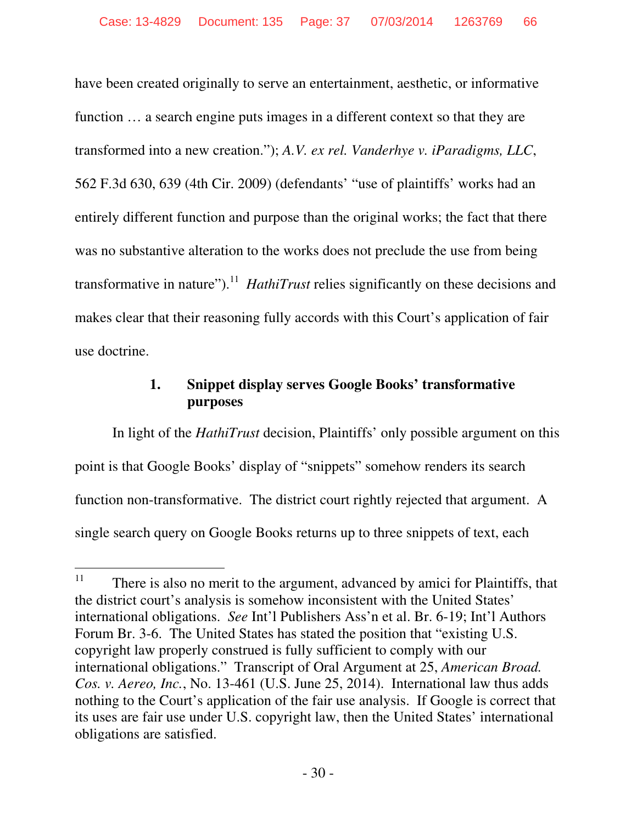have been created originally to serve an entertainment, aesthetic, or informative function … a search engine puts images in a different context so that they are transformed into a new creation."); *A.V. ex rel. Vanderhye v. iParadigms, LLC*, 562 F.3d 630, 639 (4th Cir. 2009) (defendants' "use of plaintiffs' works had an entirely different function and purpose than the original works; the fact that there was no substantive alteration to the works does not preclude the use from being transformative in nature").<sup>11</sup> *HathiTrust* relies significantly on these decisions and makes clear that their reasoning fully accords with this Court's application of fair use doctrine.

# **1. Snippet display serves Google Books' transformative purposes**

In light of the *HathiTrust* decision, Plaintiffs' only possible argument on this point is that Google Books' display of "snippets" somehow renders its search function non-transformative. The district court rightly rejected that argument. A single search query on Google Books returns up to three snippets of text, each

 $11\,$ There is also no merit to the argument, advanced by amici for Plaintiffs, that the district court's analysis is somehow inconsistent with the United States' international obligations. *See* Int'l Publishers Ass'n et al. Br. 6-19; Int'l Authors Forum Br. 3-6. The United States has stated the position that "existing U.S. copyright law properly construed is fully sufficient to comply with our international obligations." Transcript of Oral Argument at 25, *American Broad. Cos. v. Aereo, Inc.*, No. 13-461 (U.S. June 25, 2014). International law thus adds nothing to the Court's application of the fair use analysis. If Google is correct that its uses are fair use under U.S. copyright law, then the United States' international obligations are satisfied.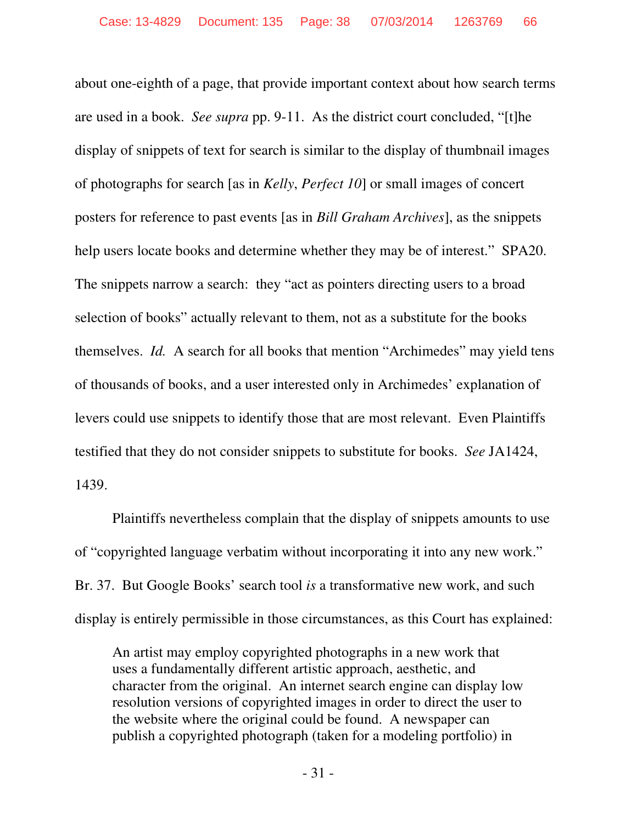about one-eighth of a page, that provide important context about how search terms are used in a book. *See supra* pp. 9-11. As the district court concluded, "[t]he display of snippets of text for search is similar to the display of thumbnail images of photographs for search [as in *Kelly*, *Perfect 10*] or small images of concert posters for reference to past events [as in *Bill Graham Archives*], as the snippets help users locate books and determine whether they may be of interest." SPA20. The snippets narrow a search: they "act as pointers directing users to a broad selection of books" actually relevant to them, not as a substitute for the books themselves. *Id.* A search for all books that mention "Archimedes" may yield tens of thousands of books, and a user interested only in Archimedes' explanation of levers could use snippets to identify those that are most relevant. Even Plaintiffs testified that they do not consider snippets to substitute for books. *See* JA1424, 1439.

Plaintiffs nevertheless complain that the display of snippets amounts to use of "copyrighted language verbatim without incorporating it into any new work." Br. 37. But Google Books' search tool *is* a transformative new work, and such display is entirely permissible in those circumstances, as this Court has explained:

An artist may employ copyrighted photographs in a new work that uses a fundamentally different artistic approach, aesthetic, and character from the original. An internet search engine can display low resolution versions of copyrighted images in order to direct the user to the website where the original could be found. A newspaper can publish a copyrighted photograph (taken for a modeling portfolio) in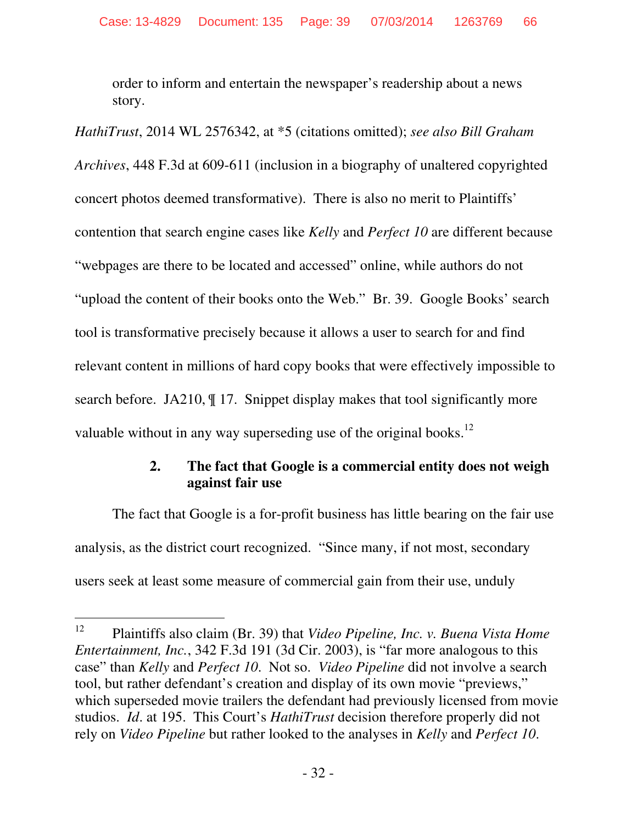order to inform and entertain the newspaper's readership about a news story.

*HathiTrust*, 2014 WL 2576342, at \*5 (citations omitted); *see also Bill Graham Archives*, 448 F.3d at 609-611 (inclusion in a biography of unaltered copyrighted concert photos deemed transformative). There is also no merit to Plaintiffs' contention that search engine cases like *Kelly* and *Perfect 10* are different because "webpages are there to be located and accessed" online, while authors do not "upload the content of their books onto the Web." Br. 39. Google Books' search tool is transformative precisely because it allows a user to search for and find relevant content in millions of hard copy books that were effectively impossible to search before. JA210, ¶ 17. Snippet display makes that tool significantly more valuable without in any way superseding use of the original books.<sup>12</sup>

# **2. The fact that Google is a commercial entity does not weigh against fair use**

The fact that Google is a for-profit business has little bearing on the fair use analysis, as the district court recognized. "Since many, if not most, secondary users seek at least some measure of commercial gain from their use, unduly

<sup>12</sup> <sup>12</sup> Plaintiffs also claim (Br. 39) that *Video Pipeline, Inc. v. Buena Vista Home Entertainment, Inc.*, 342 F.3d 191 (3d Cir. 2003), is "far more analogous to this case" than *Kelly* and *Perfect 10*. Not so. *Video Pipeline* did not involve a search tool, but rather defendant's creation and display of its own movie "previews," which superseded movie trailers the defendant had previously licensed from movie studios. *Id*. at 195. This Court's *HathiTrust* decision therefore properly did not rely on *Video Pipeline* but rather looked to the analyses in *Kelly* and *Perfect 10*.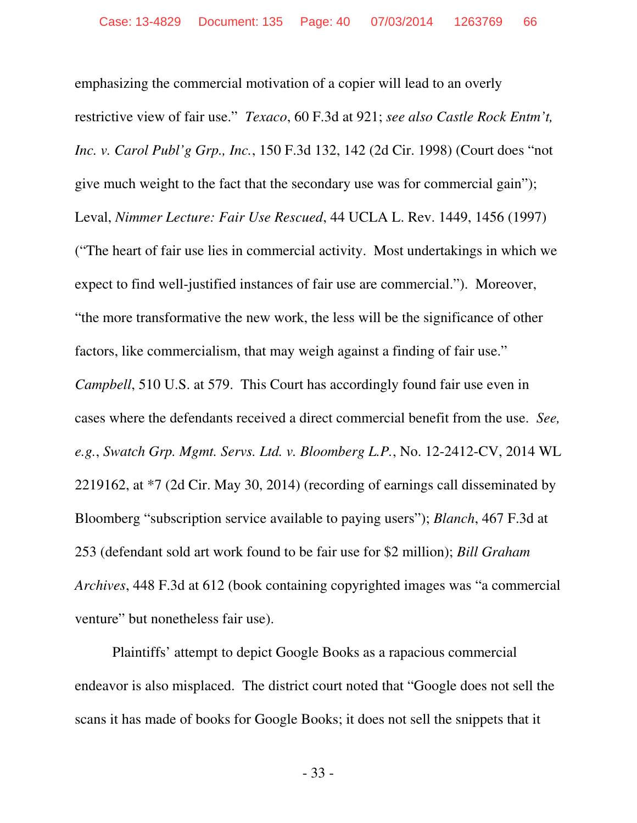emphasizing the commercial motivation of a copier will lead to an overly restrictive view of fair use." *Texaco*, 60 F.3d at 921; *see also Castle Rock Entm't, Inc. v. Carol Publ'g Grp., Inc.*, 150 F.3d 132, 142 (2d Cir. 1998) (Court does "not give much weight to the fact that the secondary use was for commercial gain"); Leval, *Nimmer Lecture: Fair Use Rescued*, 44 UCLA L. Rev. 1449, 1456 (1997) ("The heart of fair use lies in commercial activity. Most undertakings in which we expect to find well-justified instances of fair use are commercial."). Moreover, "the more transformative the new work, the less will be the significance of other factors, like commercialism, that may weigh against a finding of fair use." *Campbell*, 510 U.S. at 579. This Court has accordingly found fair use even in cases where the defendants received a direct commercial benefit from the use. *See, e.g.*, *Swatch Grp. Mgmt. Servs. Ltd. v. Bloomberg L.P.*, No. 12-2412-CV, 2014 WL 2219162, at \*7 (2d Cir. May 30, 2014) (recording of earnings call disseminated by Bloomberg "subscription service available to paying users"); *Blanch*, 467 F.3d at 253 (defendant sold art work found to be fair use for \$2 million); *Bill Graham Archives*, 448 F.3d at 612 (book containing copyrighted images was "a commercial venture" but nonetheless fair use).

Plaintiffs' attempt to depict Google Books as a rapacious commercial endeavor is also misplaced. The district court noted that "Google does not sell the scans it has made of books for Google Books; it does not sell the snippets that it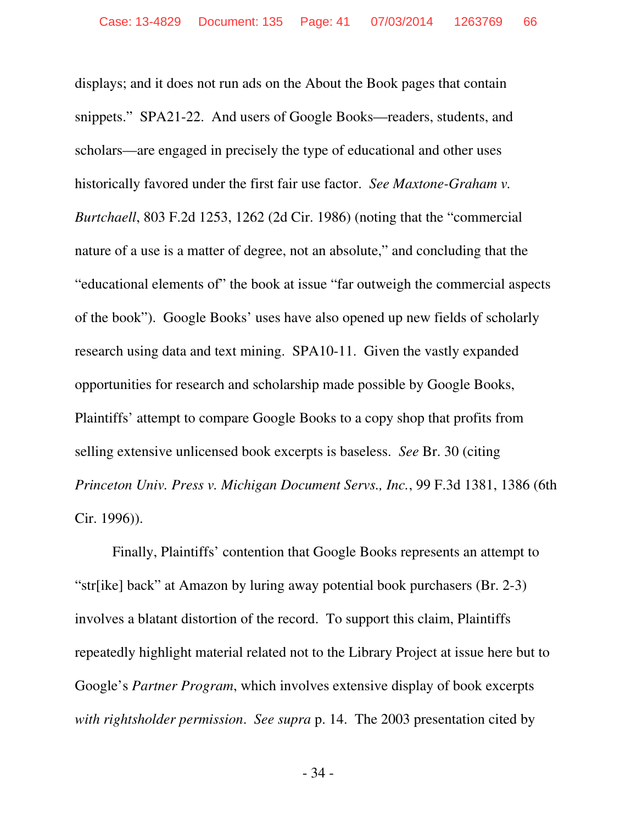displays; and it does not run ads on the About the Book pages that contain snippets." SPA21-22. And users of Google Books—readers, students, and scholars—are engaged in precisely the type of educational and other uses historically favored under the first fair use factor. *See Maxtone-Graham v. Burtchaell*, 803 F.2d 1253, 1262 (2d Cir. 1986) (noting that the "commercial nature of a use is a matter of degree, not an absolute," and concluding that the "educational elements of" the book at issue "far outweigh the commercial aspects of the book"). Google Books' uses have also opened up new fields of scholarly research using data and text mining. SPA10-11. Given the vastly expanded opportunities for research and scholarship made possible by Google Books, Plaintiffs' attempt to compare Google Books to a copy shop that profits from selling extensive unlicensed book excerpts is baseless. *See* Br. 30 (citing *Princeton Univ. Press v. Michigan Document Servs., Inc.*, 99 F.3d 1381, 1386 (6th Cir. 1996)).

Finally, Plaintiffs' contention that Google Books represents an attempt to "str[ike] back" at Amazon by luring away potential book purchasers (Br. 2-3) involves a blatant distortion of the record. To support this claim, Plaintiffs repeatedly highlight material related not to the Library Project at issue here but to Google's *Partner Program*, which involves extensive display of book excerpts *with rightsholder permission*. *See supra* p. 14. The 2003 presentation cited by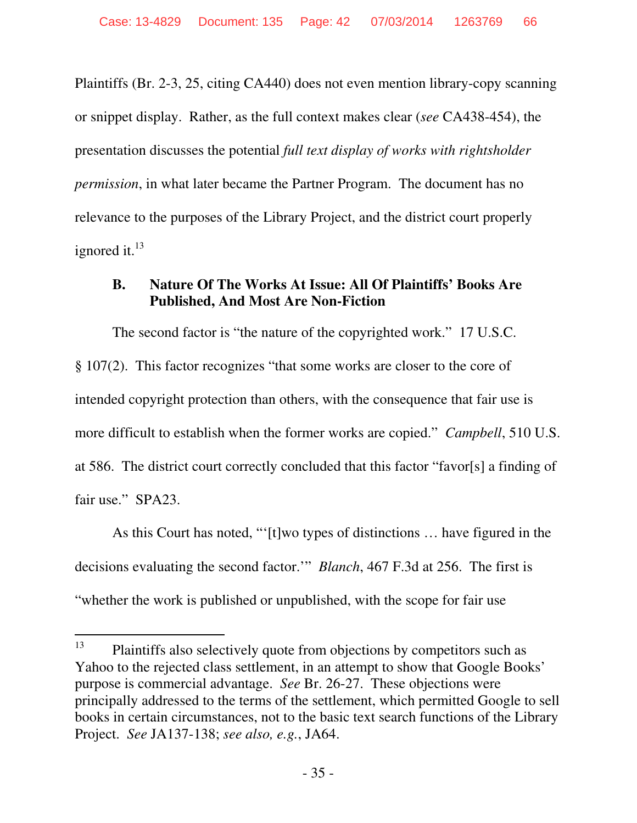Plaintiffs (Br. 2-3, 25, citing CA440) does not even mention library-copy scanning or snippet display. Rather, as the full context makes clear (*see* CA438-454), the presentation discusses the potential *full text display of works with rightsholder permission*, in what later became the Partner Program. The document has no relevance to the purposes of the Library Project, and the district court properly ignored it.<sup>13</sup>

# **B. Nature Of The Works At Issue: All Of Plaintiffs' Books Are Published, And Most Are Non-Fiction**

The second factor is "the nature of the copyrighted work." 17 U.S.C. § 107(2). This factor recognizes "that some works are closer to the core of intended copyright protection than others, with the consequence that fair use is more difficult to establish when the former works are copied." *Campbell*, 510 U.S. at 586. The district court correctly concluded that this factor "favor[s] a finding of fair use." SPA23.

As this Court has noted, "'[t]wo types of distinctions … have figured in the decisions evaluating the second factor.'" *Blanch*, 467 F.3d at 256. The first is "whether the work is published or unpublished, with the scope for fair use

<sup>13</sup> Plaintiffs also selectively quote from objections by competitors such as Yahoo to the rejected class settlement, in an attempt to show that Google Books' purpose is commercial advantage. *See* Br. 26-27. These objections were principally addressed to the terms of the settlement, which permitted Google to sell books in certain circumstances, not to the basic text search functions of the Library Project. *See* JA137-138; *see also, e.g.*, JA64.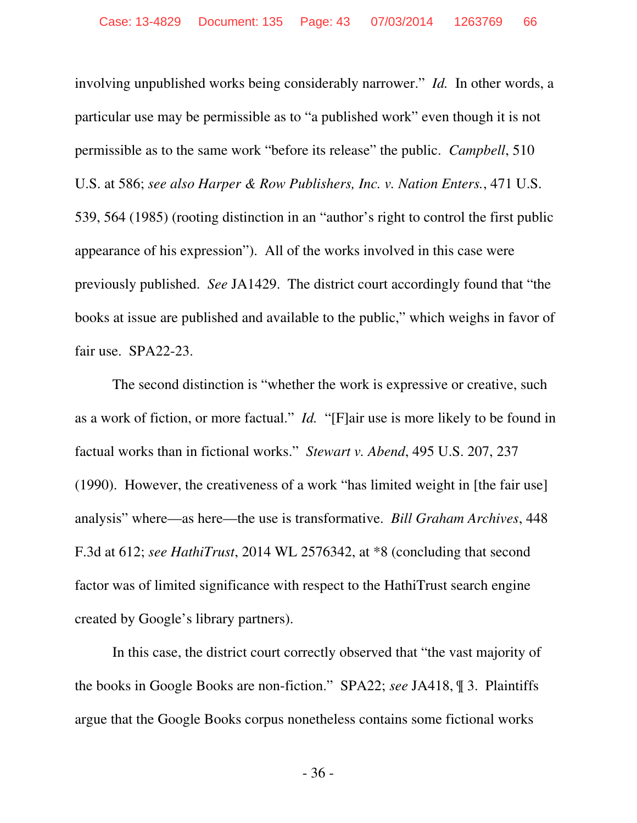involving unpublished works being considerably narrower." *Id.* In other words, a particular use may be permissible as to "a published work" even though it is not permissible as to the same work "before its release" the public. *Campbell*, 510 U.S. at 586; *see also Harper & Row Publishers, Inc. v. Nation Enters.*, 471 U.S. 539, 564 (1985) (rooting distinction in an "author's right to control the first public appearance of his expression"). All of the works involved in this case were previously published. *See* JA1429. The district court accordingly found that "the books at issue are published and available to the public," which weighs in favor of fair use. SPA22-23.

The second distinction is "whether the work is expressive or creative, such as a work of fiction, or more factual." *Id.* "[F]air use is more likely to be found in factual works than in fictional works." *Stewart v. Abend*, 495 U.S. 207, 237 (1990). However, the creativeness of a work "has limited weight in [the fair use] analysis" where—as here—the use is transformative. *Bill Graham Archives*, 448 F.3d at 612; *see HathiTrust*, 2014 WL 2576342, at \*8 (concluding that second factor was of limited significance with respect to the HathiTrust search engine created by Google's library partners).

In this case, the district court correctly observed that "the vast majority of the books in Google Books are non-fiction." SPA22; *see* JA418, ¶ 3. Plaintiffs argue that the Google Books corpus nonetheless contains some fictional works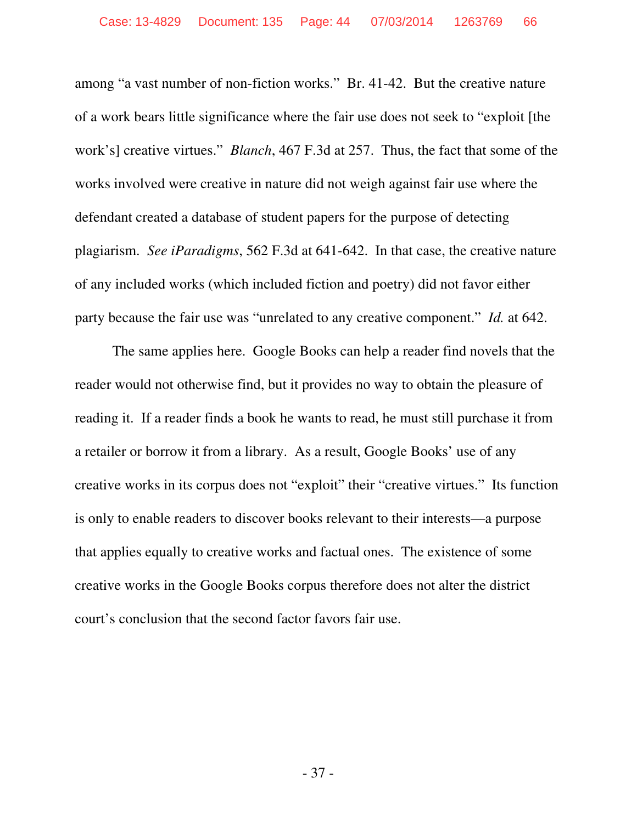among "a vast number of non-fiction works." Br. 41-42. But the creative nature of a work bears little significance where the fair use does not seek to "exploit [the work's] creative virtues." *Blanch*, 467 F.3d at 257. Thus, the fact that some of the works involved were creative in nature did not weigh against fair use where the defendant created a database of student papers for the purpose of detecting plagiarism. *See iParadigms*, 562 F.3d at 641-642. In that case, the creative nature of any included works (which included fiction and poetry) did not favor either party because the fair use was "unrelated to any creative component." *Id.* at 642.

The same applies here. Google Books can help a reader find novels that the reader would not otherwise find, but it provides no way to obtain the pleasure of reading it. If a reader finds a book he wants to read, he must still purchase it from a retailer or borrow it from a library. As a result, Google Books' use of any creative works in its corpus does not "exploit" their "creative virtues." Its function is only to enable readers to discover books relevant to their interests—a purpose that applies equally to creative works and factual ones. The existence of some creative works in the Google Books corpus therefore does not alter the district court's conclusion that the second factor favors fair use.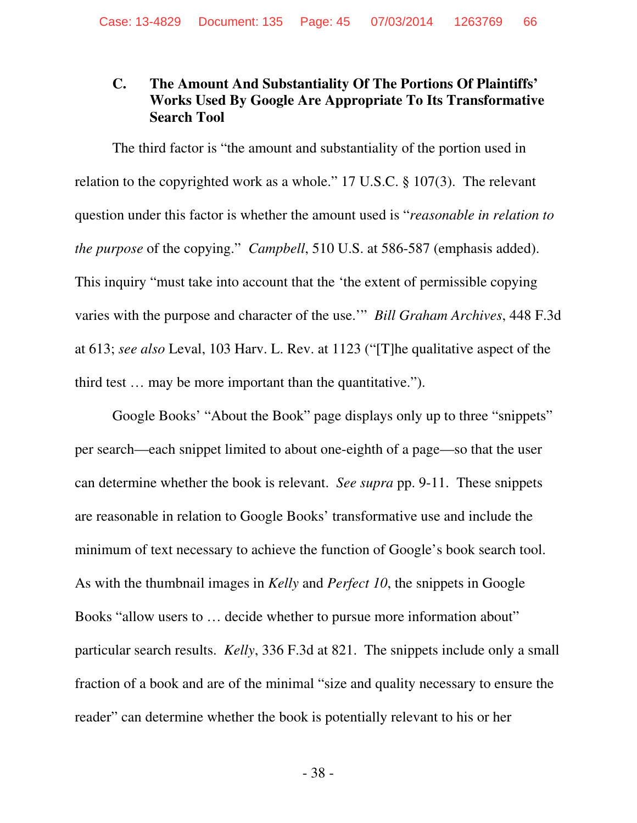# **C. The Amount And Substantiality Of The Portions Of Plaintiffs' Works Used By Google Are Appropriate To Its Transformative Search Tool**

The third factor is "the amount and substantiality of the portion used in relation to the copyrighted work as a whole." 17 U.S.C. § 107(3). The relevant question under this factor is whether the amount used is "*reasonable in relation to the purpose* of the copying." *Campbell*, 510 U.S. at 586-587 (emphasis added). This inquiry "must take into account that the 'the extent of permissible copying varies with the purpose and character of the use.'" *Bill Graham Archives*, 448 F.3d at 613; *see also* Leval, 103 Harv. L. Rev. at 1123 ("[T]he qualitative aspect of the third test … may be more important than the quantitative.").

Google Books' "About the Book" page displays only up to three "snippets" per search—each snippet limited to about one-eighth of a page—so that the user can determine whether the book is relevant. *See supra* pp. 9-11. These snippets are reasonable in relation to Google Books' transformative use and include the minimum of text necessary to achieve the function of Google's book search tool. As with the thumbnail images in *Kelly* and *Perfect 10*, the snippets in Google Books "allow users to … decide whether to pursue more information about" particular search results. *Kelly*, 336 F.3d at 821. The snippets include only a small fraction of a book and are of the minimal "size and quality necessary to ensure the reader" can determine whether the book is potentially relevant to his or her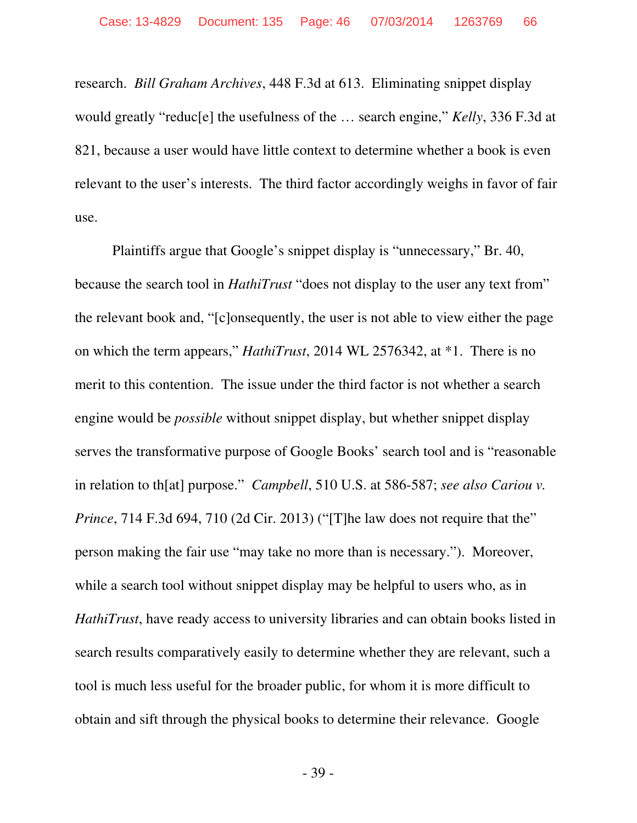research. *Bill Graham Archives*, 448 F.3d at 613. Eliminating snippet display would greatly "reduc[e] the usefulness of the … search engine," *Kelly*, 336 F.3d at 821, because a user would have little context to determine whether a book is even relevant to the user's interests. The third factor accordingly weighs in favor of fair use.

Plaintiffs argue that Google's snippet display is "unnecessary," Br. 40, because the search tool in *HathiTrust* "does not display to the user any text from" the relevant book and, "[c]onsequently, the user is not able to view either the page on which the term appears," *HathiTrust*, 2014 WL 2576342, at \*1. There is no merit to this contention. The issue under the third factor is not whether a search engine would be *possible* without snippet display, but whether snippet display serves the transformative purpose of Google Books' search tool and is "reasonable in relation to th[at] purpose." *Campbell*, 510 U.S. at 586-587; *see also Cariou v. Prince*, 714 F.3d 694, 710 (2d Cir. 2013) ("[T]he law does not require that the" person making the fair use "may take no more than is necessary."). Moreover, while a search tool without snippet display may be helpful to users who, as in *HathiTrust*, have ready access to university libraries and can obtain books listed in search results comparatively easily to determine whether they are relevant, such a tool is much less useful for the broader public, for whom it is more difficult to obtain and sift through the physical books to determine their relevance. Google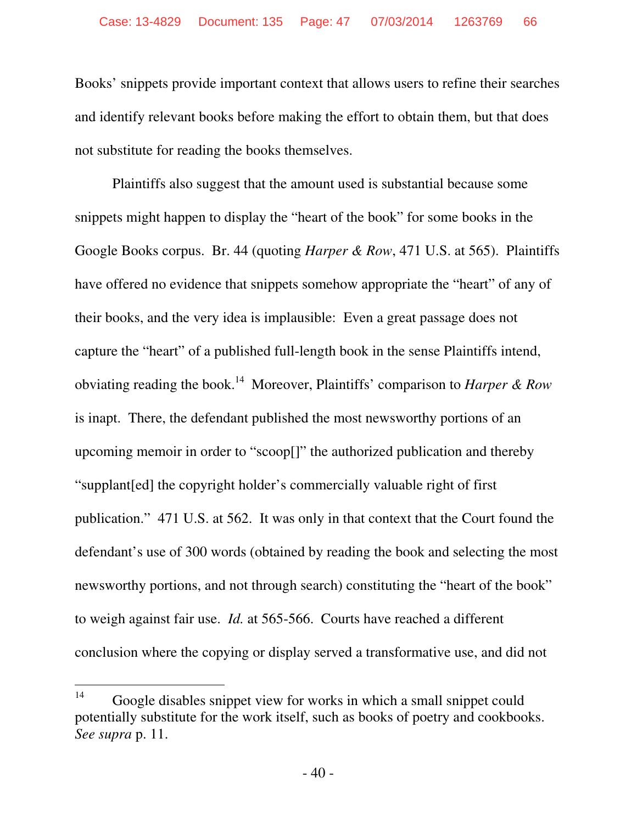Books' snippets provide important context that allows users to refine their searches and identify relevant books before making the effort to obtain them, but that does not substitute for reading the books themselves.

Plaintiffs also suggest that the amount used is substantial because some snippets might happen to display the "heart of the book" for some books in the Google Books corpus. Br. 44 (quoting *Harper & Row*, 471 U.S. at 565). Plaintiffs have offered no evidence that snippets somehow appropriate the "heart" of any of their books, and the very idea is implausible: Even a great passage does not capture the "heart" of a published full-length book in the sense Plaintiffs intend, obviating reading the book.<sup>14</sup> Moreover, Plaintiffs' comparison to *Harper & Row* is inapt. There, the defendant published the most newsworthy portions of an upcoming memoir in order to "scoop[]" the authorized publication and thereby "supplant[ed] the copyright holder's commercially valuable right of first publication." 471 U.S. at 562. It was only in that context that the Court found the defendant's use of 300 words (obtained by reading the book and selecting the most newsworthy portions, and not through search) constituting the "heart of the book" to weigh against fair use. *Id.* at 565-566. Courts have reached a different conclusion where the copying or display served a transformative use, and did not

 $14$ Google disables snippet view for works in which a small snippet could potentially substitute for the work itself, such as books of poetry and cookbooks. *See supra* p. 11.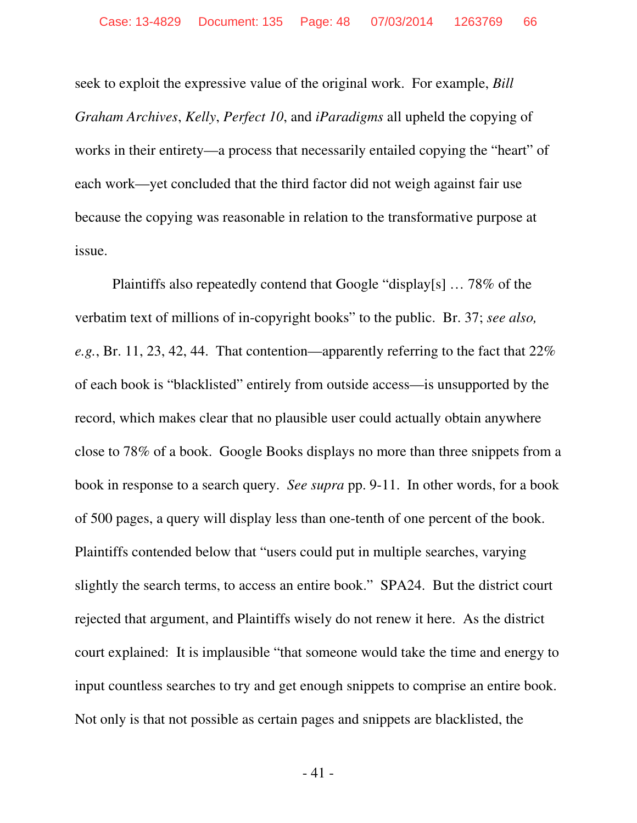seek to exploit the expressive value of the original work. For example, *Bill Graham Archives*, *Kelly*, *Perfect 10*, and *iParadigms* all upheld the copying of works in their entirety—a process that necessarily entailed copying the "heart" of each work—yet concluded that the third factor did not weigh against fair use because the copying was reasonable in relation to the transformative purpose at issue.

Plaintiffs also repeatedly contend that Google "display[s] … 78% of the verbatim text of millions of in-copyright books" to the public. Br. 37; *see also, e.g.*, Br. 11, 23, 42, 44. That contention—apparently referring to the fact that 22% of each book is "blacklisted" entirely from outside access—is unsupported by the record, which makes clear that no plausible user could actually obtain anywhere close to 78% of a book. Google Books displays no more than three snippets from a book in response to a search query. *See supra* pp. 9-11. In other words, for a book of 500 pages, a query will display less than one-tenth of one percent of the book. Plaintiffs contended below that "users could put in multiple searches, varying slightly the search terms, to access an entire book." SPA24. But the district court rejected that argument, and Plaintiffs wisely do not renew it here. As the district court explained: It is implausible "that someone would take the time and energy to input countless searches to try and get enough snippets to comprise an entire book. Not only is that not possible as certain pages and snippets are blacklisted, the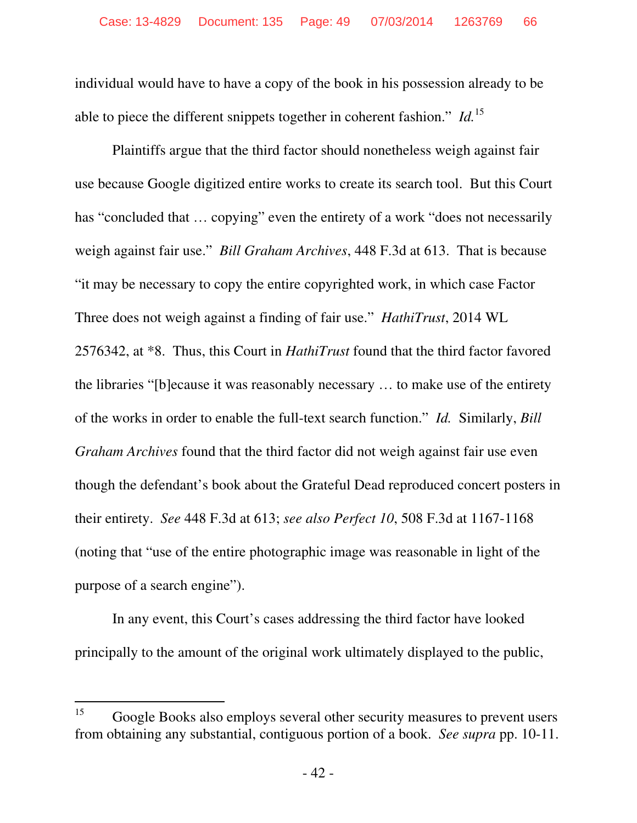individual would have to have a copy of the book in his possession already to be able to piece the different snippets together in coherent fashion." *Id.*<sup>15</sup>

Plaintiffs argue that the third factor should nonetheless weigh against fair use because Google digitized entire works to create its search tool. But this Court has "concluded that ... copying" even the entirety of a work "does not necessarily weigh against fair use." *Bill Graham Archives*, 448 F.3d at 613. That is because "it may be necessary to copy the entire copyrighted work, in which case Factor Three does not weigh against a finding of fair use." *HathiTrust*, 2014 WL 2576342, at \*8. Thus, this Court in *HathiTrust* found that the third factor favored the libraries "[b]ecause it was reasonably necessary … to make use of the entirety of the works in order to enable the full-text search function." *Id.* Similarly, *Bill Graham Archives* found that the third factor did not weigh against fair use even though the defendant's book about the Grateful Dead reproduced concert posters in their entirety. *See* 448 F.3d at 613; *see also Perfect 10*, 508 F.3d at 1167-1168 (noting that "use of the entire photographic image was reasonable in light of the purpose of a search engine").

In any event, this Court's cases addressing the third factor have looked principally to the amount of the original work ultimately displayed to the public,

<sup>15</sup> <sup>15</sup> Google Books also employs several other security measures to prevent users from obtaining any substantial, contiguous portion of a book. *See supra* pp. 10-11.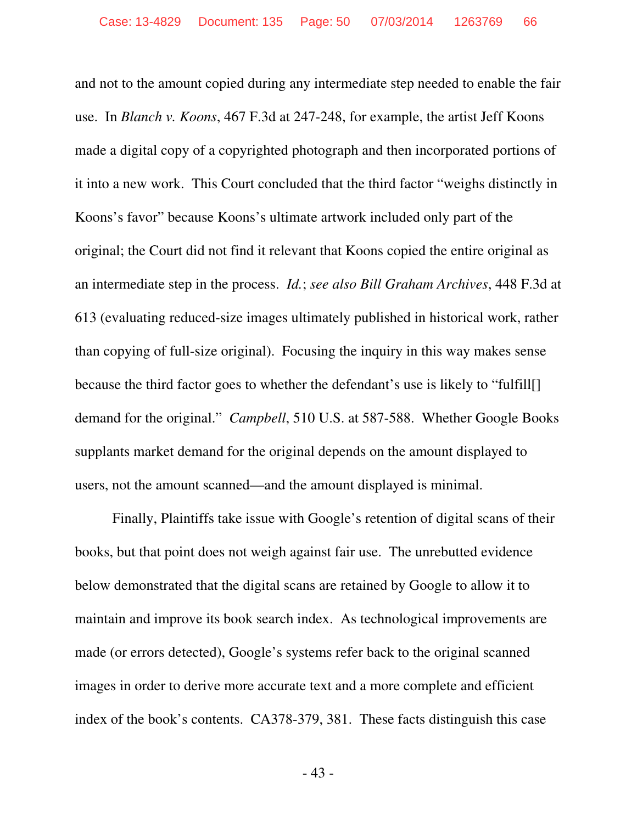and not to the amount copied during any intermediate step needed to enable the fair use. In *Blanch v. Koons*, 467 F.3d at 247-248, for example, the artist Jeff Koons made a digital copy of a copyrighted photograph and then incorporated portions of it into a new work. This Court concluded that the third factor "weighs distinctly in Koons's favor" because Koons's ultimate artwork included only part of the original; the Court did not find it relevant that Koons copied the entire original as an intermediate step in the process. *Id.*; *see also Bill Graham Archives*, 448 F.3d at 613 (evaluating reduced-size images ultimately published in historical work, rather than copying of full-size original). Focusing the inquiry in this way makes sense because the third factor goes to whether the defendant's use is likely to "fulfill[] demand for the original." *Campbell*, 510 U.S. at 587-588. Whether Google Books supplants market demand for the original depends on the amount displayed to users, not the amount scanned—and the amount displayed is minimal.

Finally, Plaintiffs take issue with Google's retention of digital scans of their books, but that point does not weigh against fair use. The unrebutted evidence below demonstrated that the digital scans are retained by Google to allow it to maintain and improve its book search index. As technological improvements are made (or errors detected), Google's systems refer back to the original scanned images in order to derive more accurate text and a more complete and efficient index of the book's contents. CA378-379, 381. These facts distinguish this case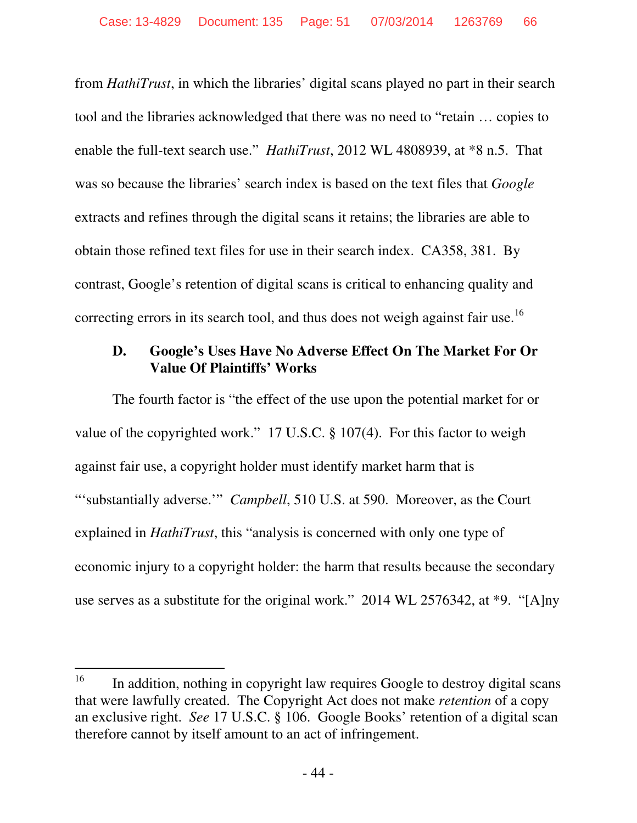from *HathiTrust*, in which the libraries' digital scans played no part in their search tool and the libraries acknowledged that there was no need to "retain … copies to enable the full-text search use." *HathiTrust*, 2012 WL 4808939, at \*8 n.5. That was so because the libraries' search index is based on the text files that *Google* extracts and refines through the digital scans it retains; the libraries are able to obtain those refined text files for use in their search index. CA358, 381. By contrast, Google's retention of digital scans is critical to enhancing quality and correcting errors in its search tool, and thus does not weigh against fair use.<sup>16</sup>

# **D. Google's Uses Have No Adverse Effect On The Market For Or Value Of Plaintiffs' Works**

The fourth factor is "the effect of the use upon the potential market for or value of the copyrighted work." 17 U.S.C. § 107(4). For this factor to weigh against fair use, a copyright holder must identify market harm that is "'substantially adverse.'" *Campbell*, 510 U.S. at 590. Moreover, as the Court explained in *HathiTrust*, this "analysis is concerned with only one type of economic injury to a copyright holder: the harm that results because the secondary use serves as a substitute for the original work." 2014 WL 2576342, at \*9. "[A]ny

<sup>16</sup> In addition, nothing in copyright law requires Google to destroy digital scans that were lawfully created. The Copyright Act does not make *retention* of a copy an exclusive right. *See* 17 U.S.C. § 106. Google Books' retention of a digital scan therefore cannot by itself amount to an act of infringement.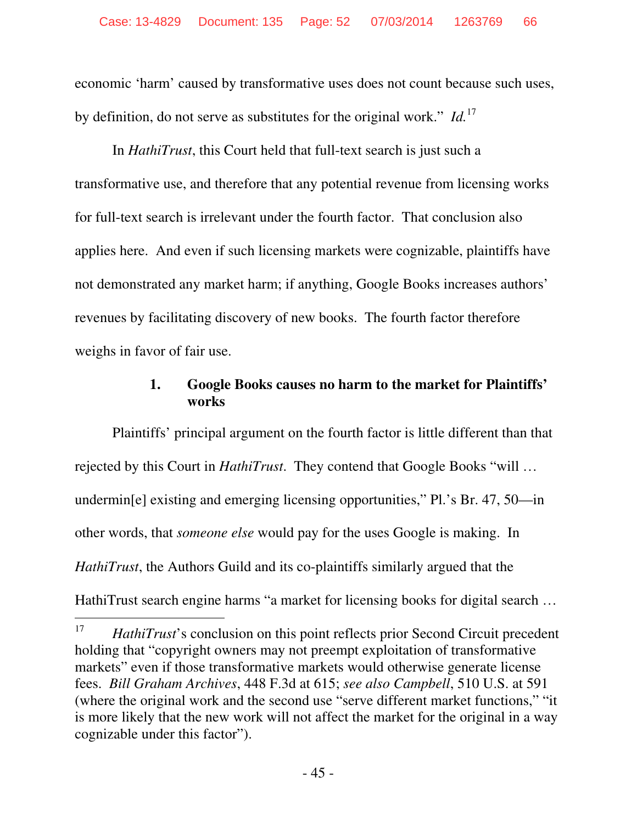economic 'harm' caused by transformative uses does not count because such uses, by definition, do not serve as substitutes for the original work." *Id.*<sup>17</sup>

In *HathiTrust*, this Court held that full-text search is just such a transformative use, and therefore that any potential revenue from licensing works for full-text search is irrelevant under the fourth factor. That conclusion also applies here. And even if such licensing markets were cognizable, plaintiffs have not demonstrated any market harm; if anything, Google Books increases authors' revenues by facilitating discovery of new books. The fourth factor therefore weighs in favor of fair use.

# **1. Google Books causes no harm to the market for Plaintiffs' works**

Plaintiffs' principal argument on the fourth factor is little different than that rejected by this Court in *HathiTrust*. They contend that Google Books "will … undermin[e] existing and emerging licensing opportunities," Pl.'s Br. 47, 50—in other words, that *someone else* would pay for the uses Google is making. In *HathiTrust*, the Authors Guild and its co-plaintiffs similarly argued that the HathiTrust search engine harms "a market for licensing books for digital search …

<sup>-</sup>17 *HathiTrust*'s conclusion on this point reflects prior Second Circuit precedent holding that "copyright owners may not preempt exploitation of transformative markets" even if those transformative markets would otherwise generate license fees. *Bill Graham Archives*, 448 F.3d at 615; *see also Campbell*, 510 U.S. at 591 (where the original work and the second use "serve different market functions," "it is more likely that the new work will not affect the market for the original in a way cognizable under this factor").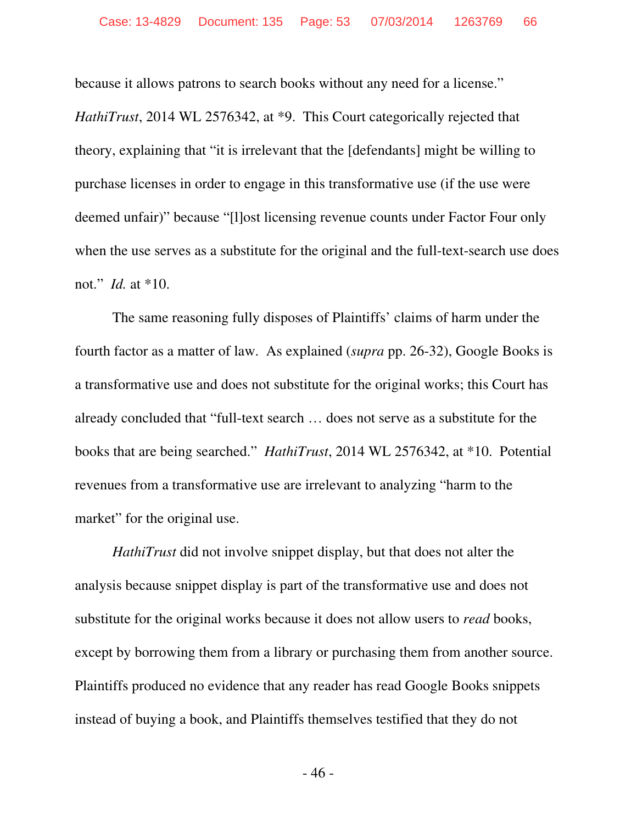because it allows patrons to search books without any need for a license."

*HathiTrust*, 2014 WL 2576342, at \*9. This Court categorically rejected that theory, explaining that "it is irrelevant that the [defendants] might be willing to purchase licenses in order to engage in this transformative use (if the use were deemed unfair)" because "[l]ost licensing revenue counts under Factor Four only when the use serves as a substitute for the original and the full-text-search use does not." *Id.* at \*10.

The same reasoning fully disposes of Plaintiffs' claims of harm under the fourth factor as a matter of law. As explained (*supra* pp. 26-32), Google Books is a transformative use and does not substitute for the original works; this Court has already concluded that "full-text search … does not serve as a substitute for the books that are being searched." *HathiTrust*, 2014 WL 2576342, at \*10. Potential revenues from a transformative use are irrelevant to analyzing "harm to the market" for the original use.

*HathiTrust* did not involve snippet display, but that does not alter the analysis because snippet display is part of the transformative use and does not substitute for the original works because it does not allow users to *read* books, except by borrowing them from a library or purchasing them from another source. Plaintiffs produced no evidence that any reader has read Google Books snippets instead of buying a book, and Plaintiffs themselves testified that they do not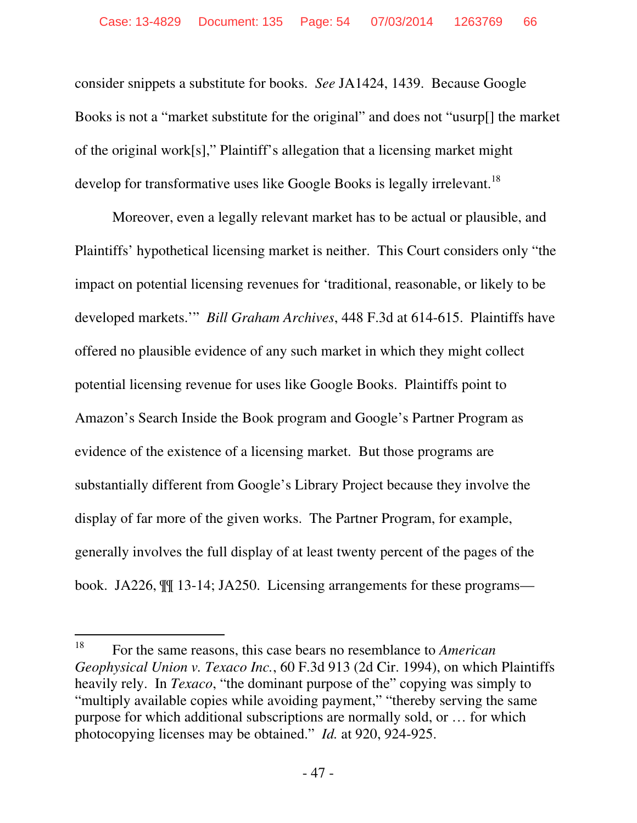consider snippets a substitute for books. *See* JA1424, 1439. Because Google Books is not a "market substitute for the original" and does not "usurp[] the market of the original work[s]," Plaintiff's allegation that a licensing market might develop for transformative uses like Google Books is legally irrelevant.<sup>18</sup>

Moreover, even a legally relevant market has to be actual or plausible, and Plaintiffs' hypothetical licensing market is neither. This Court considers only "the impact on potential licensing revenues for 'traditional, reasonable, or likely to be developed markets.'" *Bill Graham Archives*, 448 F.3d at 614-615. Plaintiffs have offered no plausible evidence of any such market in which they might collect potential licensing revenue for uses like Google Books. Plaintiffs point to Amazon's Search Inside the Book program and Google's Partner Program as evidence of the existence of a licensing market. But those programs are substantially different from Google's Library Project because they involve the display of far more of the given works. The Partner Program, for example, generally involves the full display of at least twenty percent of the pages of the book. JA226, ¶¶ 13-14; JA250. Licensing arrangements for these programs—

 $18\,$ <sup>18</sup> For the same reasons, this case bears no resemblance to *American Geophysical Union v. Texaco Inc.*, 60 F.3d 913 (2d Cir. 1994), on which Plaintiffs heavily rely. In *Texaco*, "the dominant purpose of the" copying was simply to "multiply available copies while avoiding payment," "thereby serving the same purpose for which additional subscriptions are normally sold, or … for which photocopying licenses may be obtained." *Id.* at 920, 924-925.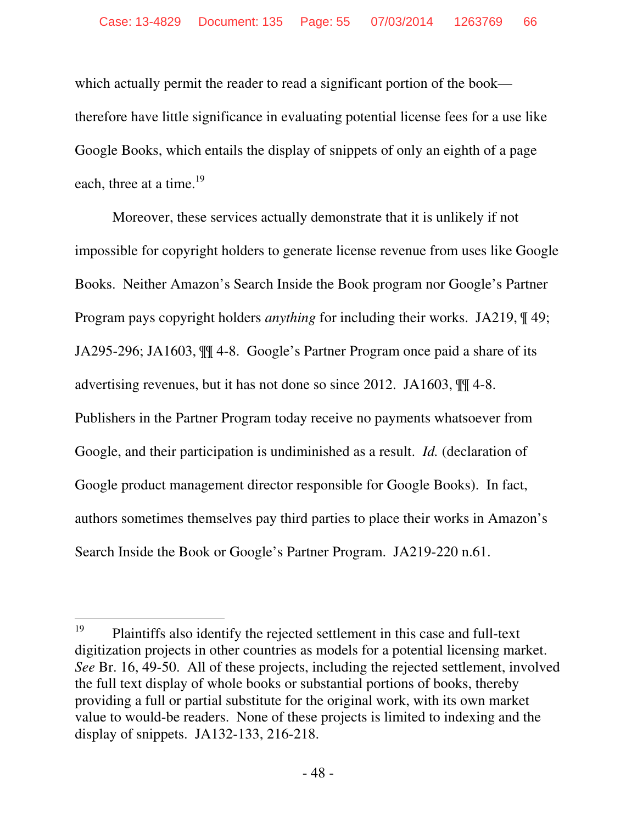which actually permit the reader to read a significant portion of the book therefore have little significance in evaluating potential license fees for a use like Google Books, which entails the display of snippets of only an eighth of a page each, three at a time.<sup>19</sup>

Moreover, these services actually demonstrate that it is unlikely if not impossible for copyright holders to generate license revenue from uses like Google Books. Neither Amazon's Search Inside the Book program nor Google's Partner Program pays copyright holders *anything* for including their works. JA219, ¶ 49; JA295-296; JA1603, ¶¶ 4-8. Google's Partner Program once paid a share of its advertising revenues, but it has not done so since 2012. JA1603, ¶¶ 4-8. Publishers in the Partner Program today receive no payments whatsoever from Google, and their participation is undiminished as a result. *Id.* (declaration of Google product management director responsible for Google Books). In fact, authors sometimes themselves pay third parties to place their works in Amazon's Search Inside the Book or Google's Partner Program. JA219-220 n.61.

<sup>19</sup> <sup>19</sup> Plaintiffs also identify the rejected settlement in this case and full-text digitization projects in other countries as models for a potential licensing market. *See* Br. 16, 49-50. All of these projects, including the rejected settlement, involved the full text display of whole books or substantial portions of books, thereby providing a full or partial substitute for the original work, with its own market value to would-be readers. None of these projects is limited to indexing and the display of snippets. JA132-133, 216-218.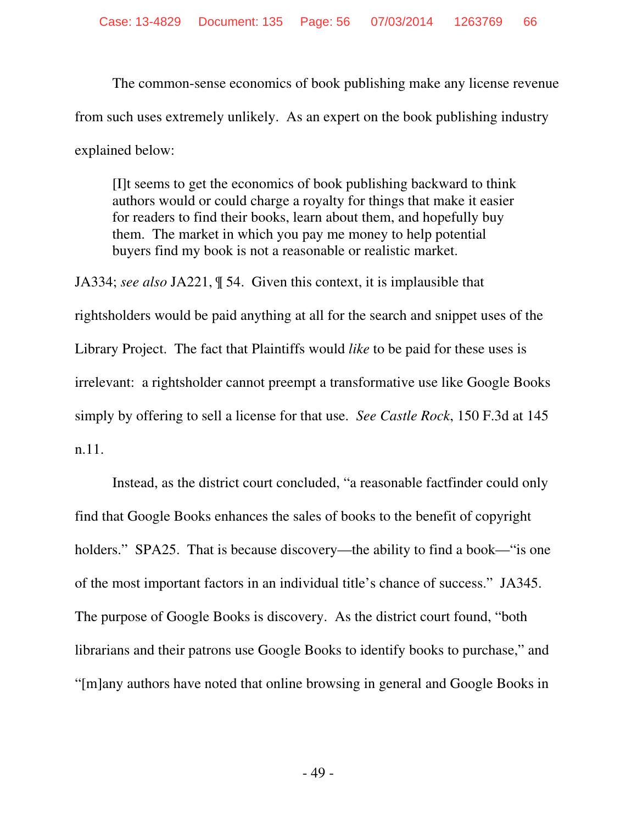The common-sense economics of book publishing make any license revenue from such uses extremely unlikely. As an expert on the book publishing industry explained below:

[I]t seems to get the economics of book publishing backward to think authors would or could charge a royalty for things that make it easier for readers to find their books, learn about them, and hopefully buy them. The market in which you pay me money to help potential buyers find my book is not a reasonable or realistic market.

JA334; *see also* JA221, ¶ 54. Given this context, it is implausible that rightsholders would be paid anything at all for the search and snippet uses of the Library Project. The fact that Plaintiffs would *like* to be paid for these uses is irrelevant: a rightsholder cannot preempt a transformative use like Google Books simply by offering to sell a license for that use. *See Castle Rock*, 150 F.3d at 145 n.11.

Instead, as the district court concluded, "a reasonable factfinder could only find that Google Books enhances the sales of books to the benefit of copyright holders." SPA25. That is because discovery—the ability to find a book—"is one of the most important factors in an individual title's chance of success." JA345. The purpose of Google Books is discovery. As the district court found, "both librarians and their patrons use Google Books to identify books to purchase," and "[m]any authors have noted that online browsing in general and Google Books in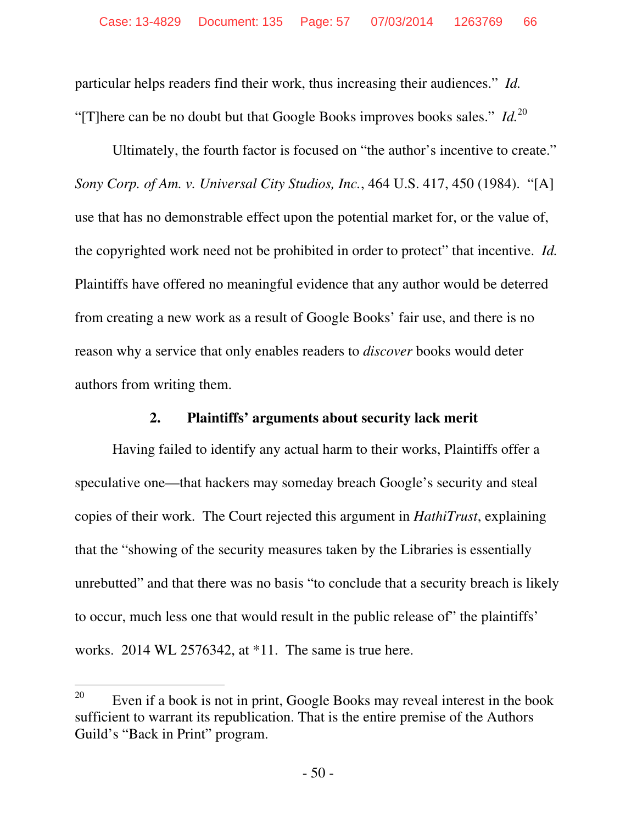particular helps readers find their work, thus increasing their audiences." *Id.* "[T]here can be no doubt but that Google Books improves books sales."  $Id.^{20}$ 

Ultimately, the fourth factor is focused on "the author's incentive to create." *Sony Corp. of Am. v. Universal City Studios, Inc.*, 464 U.S. 417, 450 (1984). "[A] use that has no demonstrable effect upon the potential market for, or the value of, the copyrighted work need not be prohibited in order to protect" that incentive. *Id.* Plaintiffs have offered no meaningful evidence that any author would be deterred from creating a new work as a result of Google Books' fair use, and there is no reason why a service that only enables readers to *discover* books would deter authors from writing them.

## **2. Plaintiffs' arguments about security lack merit**

Having failed to identify any actual harm to their works, Plaintiffs offer a speculative one—that hackers may someday breach Google's security and steal copies of their work. The Court rejected this argument in *HathiTrust*, explaining that the "showing of the security measures taken by the Libraries is essentially unrebutted" and that there was no basis "to conclude that a security breach is likely to occur, much less one that would result in the public release of" the plaintiffs' works. 2014 WL 2576342, at \*11. The same is true here.

 $\overline{a}$ 

<sup>&</sup>lt;sup>20</sup> Even if a book is not in print, Google Books may reveal interest in the book sufficient to warrant its republication. That is the entire premise of the Authors Guild's "Back in Print" program.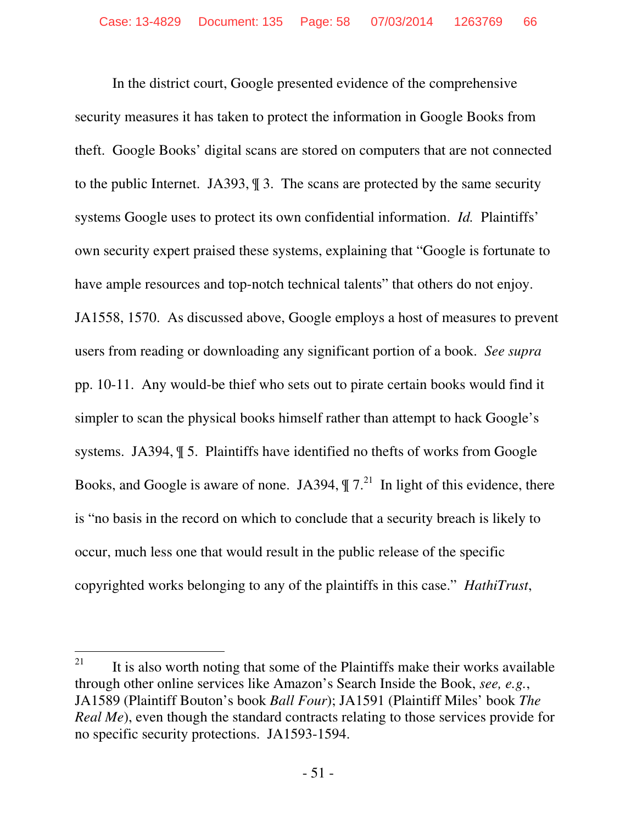In the district court, Google presented evidence of the comprehensive security measures it has taken to protect the information in Google Books from theft. Google Books' digital scans are stored on computers that are not connected to the public Internet. JA393, ¶ 3. The scans are protected by the same security systems Google uses to protect its own confidential information. *Id.* Plaintiffs' own security expert praised these systems, explaining that "Google is fortunate to have ample resources and top-notch technical talents" that others do not enjoy. JA1558, 1570. As discussed above, Google employs a host of measures to prevent users from reading or downloading any significant portion of a book. *See supra* pp. 10-11. Any would-be thief who sets out to pirate certain books would find it simpler to scan the physical books himself rather than attempt to hack Google's systems. JA394, ¶ 5. Plaintiffs have identified no thefts of works from Google Books, and Google is aware of none. JA394,  $\P 7<sup>21</sup>$  In light of this evidence, there is "no basis in the record on which to conclude that a security breach is likely to occur, much less one that would result in the public release of the specific copyrighted works belonging to any of the plaintiffs in this case." *HathiTrust*,

<sup>21</sup> It is also worth noting that some of the Plaintiffs make their works available through other online services like Amazon's Search Inside the Book, *see, e.g.*, JA1589 (Plaintiff Bouton's book *Ball Four*); JA1591 (Plaintiff Miles' book *The Real Me*), even though the standard contracts relating to those services provide for no specific security protections. JA1593-1594.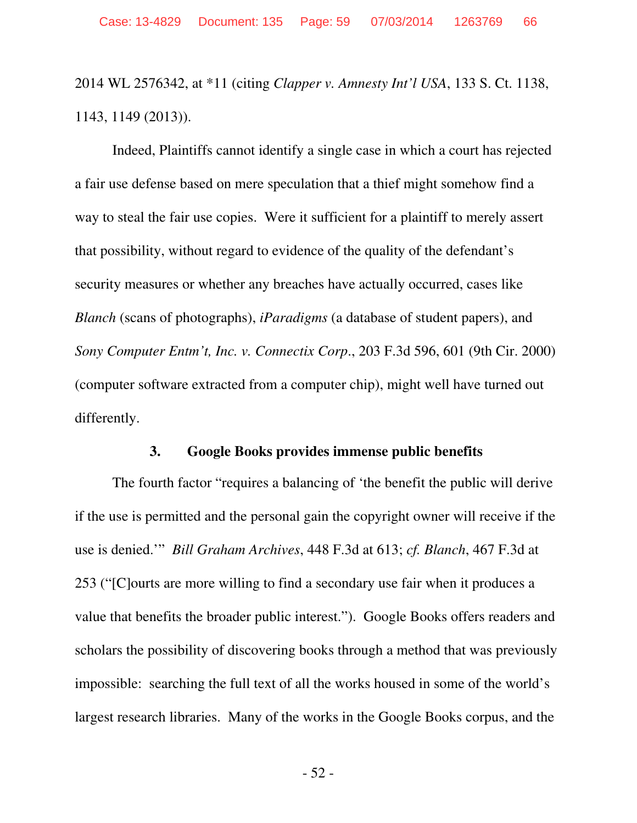2014 WL 2576342, at \*11 (citing *Clapper v. Amnesty Int'l USA*, 133 S. Ct. 1138, 1143, 1149 (2013)).

Indeed, Plaintiffs cannot identify a single case in which a court has rejected a fair use defense based on mere speculation that a thief might somehow find a way to steal the fair use copies. Were it sufficient for a plaintiff to merely assert that possibility, without regard to evidence of the quality of the defendant's security measures or whether any breaches have actually occurred, cases like *Blanch* (scans of photographs), *iParadigms* (a database of student papers), and *Sony Computer Entm't, Inc. v. Connectix Corp*., 203 F.3d 596, 601 (9th Cir. 2000) (computer software extracted from a computer chip), might well have turned out differently.

#### **3. Google Books provides immense public benefits**

The fourth factor "requires a balancing of 'the benefit the public will derive if the use is permitted and the personal gain the copyright owner will receive if the use is denied.'" *Bill Graham Archives*, 448 F.3d at 613; *cf. Blanch*, 467 F.3d at 253 ("[C]ourts are more willing to find a secondary use fair when it produces a value that benefits the broader public interest."). Google Books offers readers and scholars the possibility of discovering books through a method that was previously impossible: searching the full text of all the works housed in some of the world's largest research libraries. Many of the works in the Google Books corpus, and the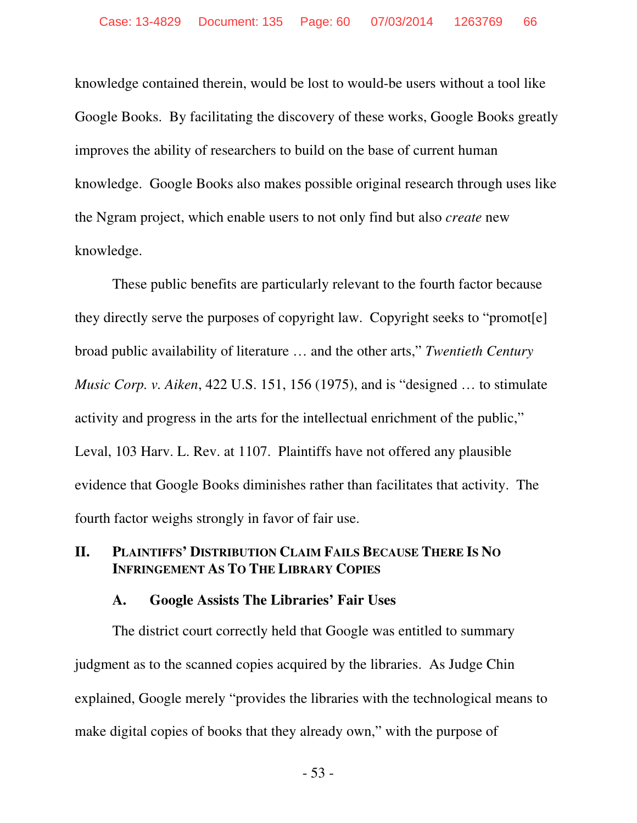knowledge contained therein, would be lost to would-be users without a tool like Google Books. By facilitating the discovery of these works, Google Books greatly improves the ability of researchers to build on the base of current human knowledge. Google Books also makes possible original research through uses like the Ngram project, which enable users to not only find but also *create* new knowledge.

These public benefits are particularly relevant to the fourth factor because they directly serve the purposes of copyright law. Copyright seeks to "promot[e] broad public availability of literature … and the other arts," *Twentieth Century Music Corp. v. Aiken*, 422 U.S. 151, 156 (1975), and is "designed … to stimulate activity and progress in the arts for the intellectual enrichment of the public," Leval, 103 Harv. L. Rev. at 1107. Plaintiffs have not offered any plausible evidence that Google Books diminishes rather than facilitates that activity. The fourth factor weighs strongly in favor of fair use.

## **II. PLAINTIFFS' DISTRIBUTION CLAIM FAILS BECAUSE THERE IS NO INFRINGEMENT AS TO THE LIBRARY COPIES**

#### **A. Google Assists The Libraries' Fair Uses**

The district court correctly held that Google was entitled to summary judgment as to the scanned copies acquired by the libraries. As Judge Chin explained, Google merely "provides the libraries with the technological means to make digital copies of books that they already own," with the purpose of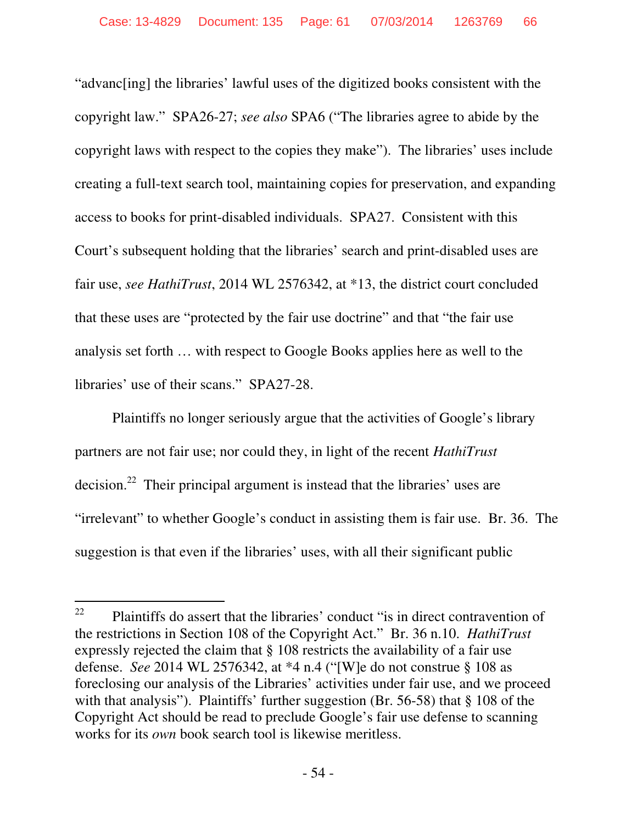"advanc[ing] the libraries' lawful uses of the digitized books consistent with the copyright law." SPA26-27; *see also* SPA6 ("The libraries agree to abide by the copyright laws with respect to the copies they make"). The libraries' uses include creating a full-text search tool, maintaining copies for preservation, and expanding access to books for print-disabled individuals. SPA27. Consistent with this Court's subsequent holding that the libraries' search and print-disabled uses are fair use, *see HathiTrust*, 2014 WL 2576342, at \*13, the district court concluded that these uses are "protected by the fair use doctrine" and that "the fair use analysis set forth … with respect to Google Books applies here as well to the libraries' use of their scans." SPA27-28.

Plaintiffs no longer seriously argue that the activities of Google's library partners are not fair use; nor could they, in light of the recent *HathiTrust*  decision.<sup>22</sup> Their principal argument is instead that the libraries' uses are "irrelevant" to whether Google's conduct in assisting them is fair use. Br. 36. The suggestion is that even if the libraries' uses, with all their significant public

<sup>22</sup> Plaintiffs do assert that the libraries' conduct "is in direct contravention of the restrictions in Section 108 of the Copyright Act." Br. 36 n.10. *HathiTrust*  expressly rejected the claim that § 108 restricts the availability of a fair use defense. *See* 2014 WL 2576342, at \*4 n.4 ("[W]e do not construe § 108 as foreclosing our analysis of the Libraries' activities under fair use, and we proceed with that analysis"). Plaintiffs' further suggestion (Br. 56-58) that § 108 of the Copyright Act should be read to preclude Google's fair use defense to scanning works for its *own* book search tool is likewise meritless.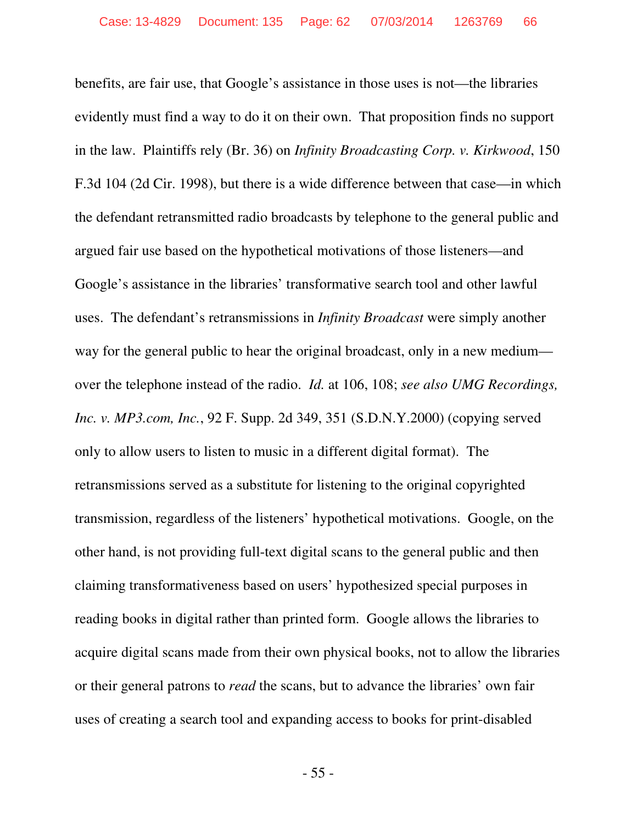benefits, are fair use, that Google's assistance in those uses is not—the libraries evidently must find a way to do it on their own. That proposition finds no support in the law. Plaintiffs rely (Br. 36) on *Infinity Broadcasting Corp. v. Kirkwood*, 150 F.3d 104 (2d Cir. 1998), but there is a wide difference between that case—in which the defendant retransmitted radio broadcasts by telephone to the general public and argued fair use based on the hypothetical motivations of those listeners—and Google's assistance in the libraries' transformative search tool and other lawful uses. The defendant's retransmissions in *Infinity Broadcast* were simply another way for the general public to hear the original broadcast, only in a new medium over the telephone instead of the radio. *Id.* at 106, 108; *see also UMG Recordings, Inc. v. MP3.com, Inc.*, 92 F. Supp. 2d 349, 351 (S.D.N.Y.2000) (copying served only to allow users to listen to music in a different digital format). The retransmissions served as a substitute for listening to the original copyrighted transmission, regardless of the listeners' hypothetical motivations. Google, on the other hand, is not providing full-text digital scans to the general public and then claiming transformativeness based on users' hypothesized special purposes in reading books in digital rather than printed form. Google allows the libraries to acquire digital scans made from their own physical books, not to allow the libraries or their general patrons to *read* the scans, but to advance the libraries' own fair uses of creating a search tool and expanding access to books for print-disabled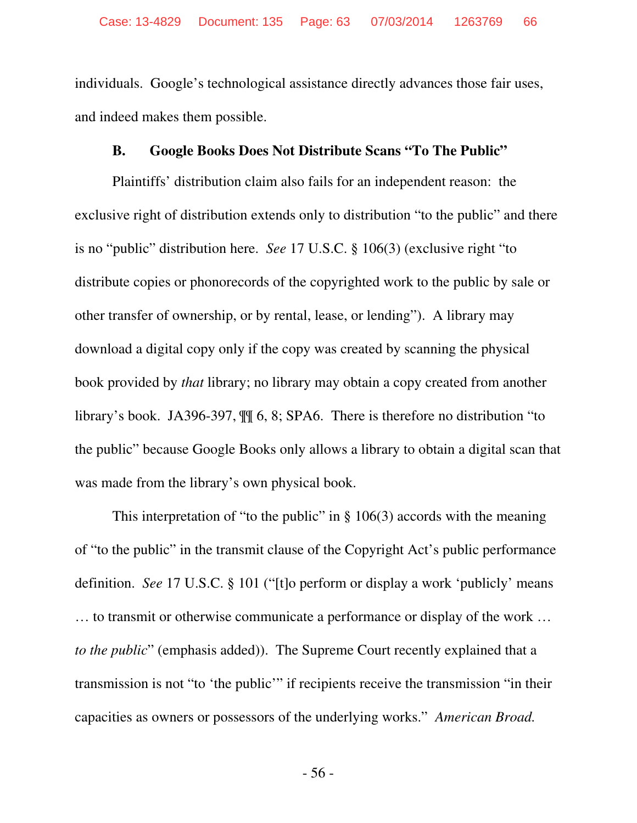individuals. Google's technological assistance directly advances those fair uses, and indeed makes them possible.

### **B. Google Books Does Not Distribute Scans "To The Public"**

Plaintiffs' distribution claim also fails for an independent reason: the exclusive right of distribution extends only to distribution "to the public" and there is no "public" distribution here. *See* 17 U.S.C. § 106(3) (exclusive right "to distribute copies or phonorecords of the copyrighted work to the public by sale or other transfer of ownership, or by rental, lease, or lending"). A library may download a digital copy only if the copy was created by scanning the physical book provided by *that* library; no library may obtain a copy created from another library's book. JA396-397, ¶¶ 6, 8; SPA6. There is therefore no distribution "to the public" because Google Books only allows a library to obtain a digital scan that was made from the library's own physical book.

This interpretation of "to the public" in  $\S$  106(3) accords with the meaning of "to the public" in the transmit clause of the Copyright Act's public performance definition. *See* 17 U.S.C. § 101 ("[t]o perform or display a work 'publicly' means … to transmit or otherwise communicate a performance or display of the work … *to the public*" (emphasis added)). The Supreme Court recently explained that a transmission is not "to 'the public'" if recipients receive the transmission "in their capacities as owners or possessors of the underlying works." *American Broad.*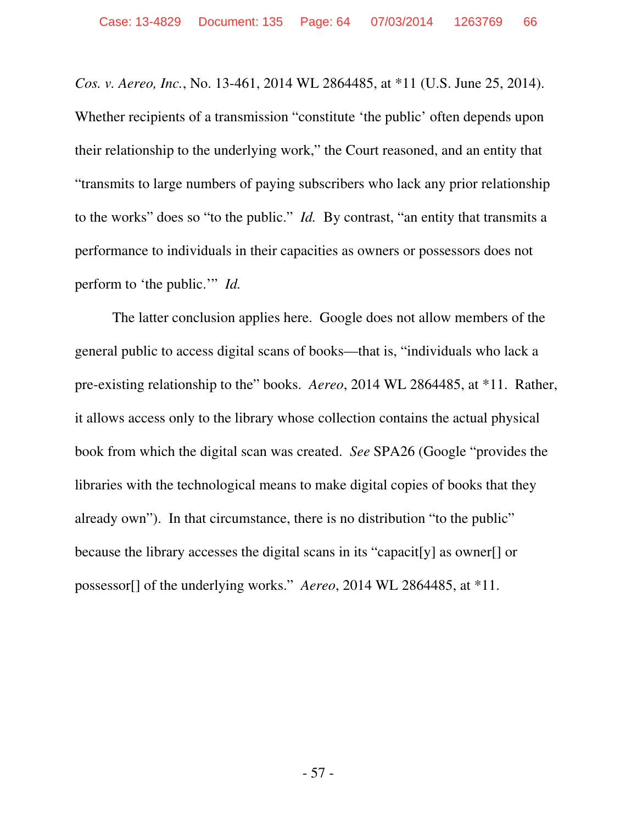*Cos. v. Aereo, Inc.*, No. 13-461, 2014 WL 2864485, at \*11 (U.S. June 25, 2014). Whether recipients of a transmission "constitute 'the public' often depends upon their relationship to the underlying work," the Court reasoned, and an entity that "transmits to large numbers of paying subscribers who lack any prior relationship to the works" does so "to the public." *Id.* By contrast, "an entity that transmits a performance to individuals in their capacities as owners or possessors does not perform to 'the public.'" *Id.*

The latter conclusion applies here. Google does not allow members of the general public to access digital scans of books—that is, "individuals who lack a pre-existing relationship to the" books. *Aereo*, 2014 WL 2864485, at \*11. Rather, it allows access only to the library whose collection contains the actual physical book from which the digital scan was created. *See* SPA26 (Google "provides the libraries with the technological means to make digital copies of books that they already own"). In that circumstance, there is no distribution "to the public" because the library accesses the digital scans in its "capacit[y] as owner[] or possessor[] of the underlying works." *Aereo*, 2014 WL 2864485, at \*11.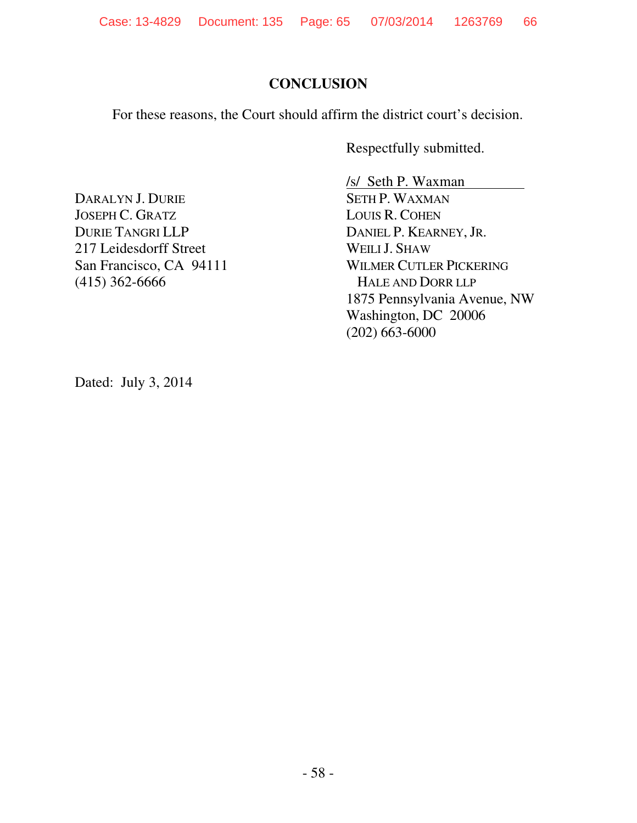# **CONCLUSION**

For these reasons, the Court should affirm the district court's decision.

Respectfully submitted.

DARALYN J. DURIE JOSEPH C. GRATZ DURIE TANGRI LLP 217 Leidesdorff Street San Francisco, CA 94111 (415) 362-6666

/s/ Seth P. Waxman SETH P. WAXMAN LOUIS R. COHEN DANIEL P. KEARNEY, JR. WEILI J. SHAW WILMER CUTLER PICKERING HALE AND DORR LLP 1875 Pennsylvania Avenue, NW Washington, DC 20006 (202) 663-6000

Dated: July 3, 2014